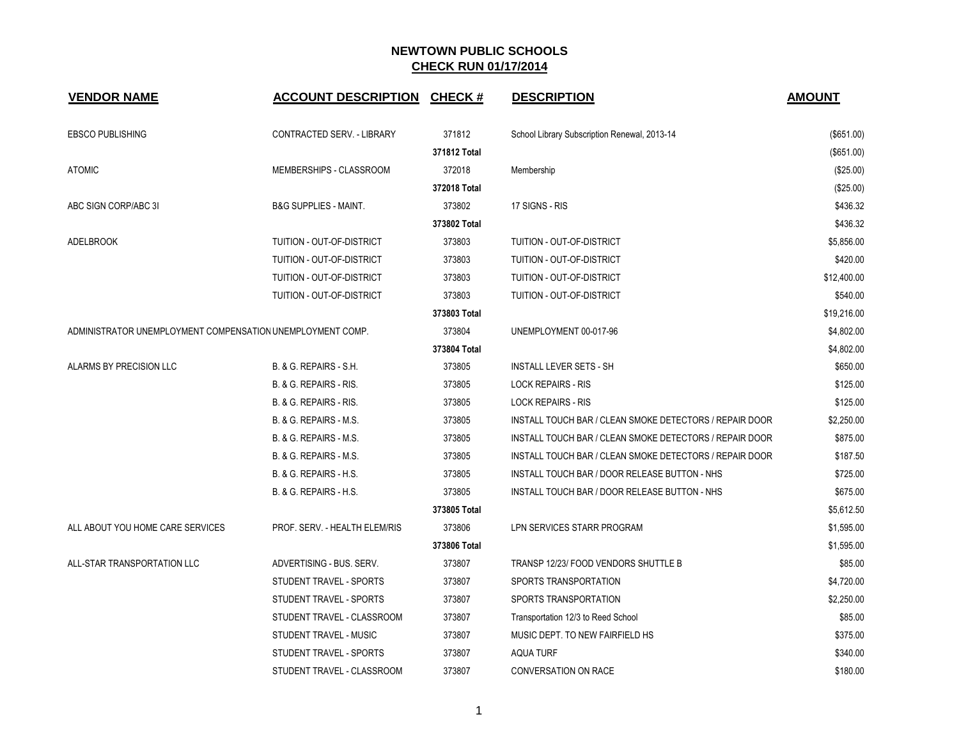| <b>VENDOR NAME</b>                                         | <b>ACCOUNT DESCRIPTION</b>       | <b>CHECK#</b> | <b>DESCRIPTION</b>                                      | <b>AMOUNT</b> |
|------------------------------------------------------------|----------------------------------|---------------|---------------------------------------------------------|---------------|
| <b>EBSCO PUBLISHING</b>                                    | CONTRACTED SERV. - LIBRARY       | 371812        | School Library Subscription Renewal, 2013-14            | (\$651.00)    |
|                                                            |                                  | 371812 Total  |                                                         | (\$651.00)    |
| <b>ATOMIC</b>                                              | MEMBERSHIPS - CLASSROOM          | 372018        | Membership                                              | (\$25.00)     |
|                                                            |                                  | 372018 Total  |                                                         | (\$25.00)     |
| ABC SIGN CORP/ABC 3I                                       | <b>B&amp;G SUPPLIES - MAINT.</b> | 373802        | 17 SIGNS - RIS                                          | \$436.32      |
|                                                            |                                  | 373802 Total  |                                                         | \$436.32      |
| <b>ADELBROOK</b>                                           | <b>TUITION - OUT-OF-DISTRICT</b> | 373803        | <b>TUITION - OUT-OF-DISTRICT</b>                        | \$5,856.00    |
|                                                            | TUITION - OUT-OF-DISTRICT        | 373803        | TUITION - OUT-OF-DISTRICT                               | \$420.00      |
|                                                            | TUITION - OUT-OF-DISTRICT        | 373803        | TUITION - OUT-OF-DISTRICT                               | \$12,400.00   |
|                                                            | TUITION - OUT-OF-DISTRICT        | 373803        | TUITION - OUT-OF-DISTRICT                               | \$540.00      |
|                                                            |                                  | 373803 Total  |                                                         | \$19,216.00   |
| ADMINISTRATOR UNEMPLOYMENT COMPENSATION UNEMPLOYMENT COMP. |                                  | 373804        | UNEMPLOYMENT 00-017-96                                  | \$4,802.00    |
|                                                            |                                  | 373804 Total  |                                                         | \$4,802.00    |
| ALARMS BY PRECISION LLC                                    | B. & G. REPAIRS - S.H.           | 373805        | <b>INSTALL LEVER SETS - SH</b>                          | \$650.00      |
|                                                            | B. & G. REPAIRS - RIS.           | 373805        | <b>LOCK REPAIRS - RIS</b>                               | \$125.00      |
|                                                            | B. & G. REPAIRS - RIS.           | 373805        | <b>LOCK REPAIRS - RIS</b>                               | \$125.00      |
|                                                            | B. & G. REPAIRS - M.S.           | 373805        | INSTALL TOUCH BAR / CLEAN SMOKE DETECTORS / REPAIR DOOR | \$2,250.00    |
|                                                            | B. & G. REPAIRS - M.S.           | 373805        | INSTALL TOUCH BAR / CLEAN SMOKE DETECTORS / REPAIR DOOR | \$875.00      |
|                                                            | B. & G. REPAIRS - M.S.           | 373805        | INSTALL TOUCH BAR / CLEAN SMOKE DETECTORS / REPAIR DOOR | \$187.50      |
|                                                            | B. & G. REPAIRS - H.S.           | 373805        | INSTALL TOUCH BAR / DOOR RELEASE BUTTON - NHS           | \$725.00      |
|                                                            | B. & G. REPAIRS - H.S.           | 373805        | INSTALL TOUCH BAR / DOOR RELEASE BUTTON - NHS           | \$675.00      |
|                                                            |                                  | 373805 Total  |                                                         | \$5,612.50    |
| ALL ABOUT YOU HOME CARE SERVICES                           | PROF. SERV. - HEALTH ELEM/RIS    | 373806        | LPN SERVICES STARR PROGRAM                              | \$1,595.00    |
|                                                            |                                  | 373806 Total  |                                                         | \$1,595.00    |
| ALL-STAR TRANSPORTATION LLC                                | ADVERTISING - BUS. SERV.         | 373807        | TRANSP 12/23/ FOOD VENDORS SHUTTLE B                    | \$85.00       |
|                                                            | STUDENT TRAVEL - SPORTS          | 373807        | SPORTS TRANSPORTATION                                   | \$4,720.00    |
|                                                            | STUDENT TRAVEL - SPORTS          | 373807        | SPORTS TRANSPORTATION                                   | \$2,250.00    |
|                                                            | STUDENT TRAVEL - CLASSROOM       | 373807        | Transportation 12/3 to Reed School                      | \$85.00       |
|                                                            | STUDENT TRAVEL - MUSIC           | 373807        | MUSIC DEPT. TO NEW FAIRFIELD HS                         | \$375.00      |
|                                                            | STUDENT TRAVEL - SPORTS          | 373807        | <b>AQUA TURF</b>                                        | \$340.00      |
|                                                            | STUDENT TRAVEL - CLASSROOM       | 373807        | <b>CONVERSATION ON RACE</b>                             | \$180.00      |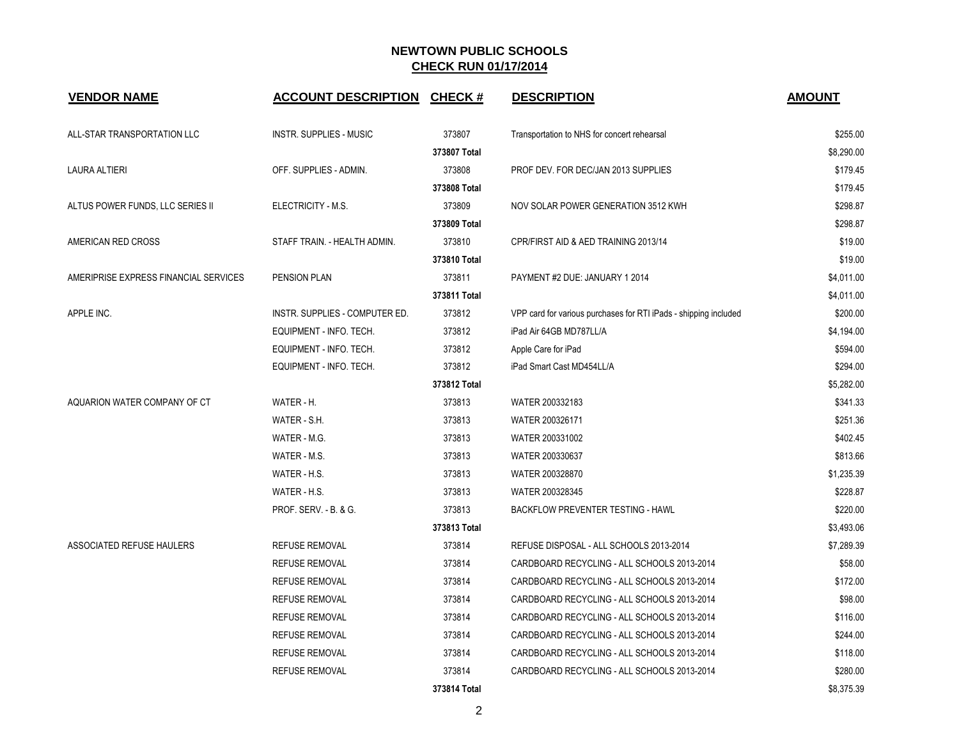| <b>VENDOR NAME</b>                    | <b>ACCOUNT DESCRIPTION CHECK #</b> |              | <b>DESCRIPTION</b>                                               | <b>AMOUNT</b> |
|---------------------------------------|------------------------------------|--------------|------------------------------------------------------------------|---------------|
| ALL-STAR TRANSPORTATION LLC           | <b>INSTR. SUPPLIES - MUSIC</b>     | 373807       | Transportation to NHS for concert rehearsal                      | \$255.00      |
|                                       |                                    | 373807 Total |                                                                  | \$8,290.00    |
| LAURA ALTIERI                         | OFF. SUPPLIES - ADMIN.             | 373808       | PROF DEV. FOR DEC/JAN 2013 SUPPLIES                              | \$179.45      |
|                                       |                                    | 373808 Total |                                                                  | \$179.45      |
| ALTUS POWER FUNDS, LLC SERIES II      | ELECTRICITY - M.S.                 | 373809       | NOV SOLAR POWER GENERATION 3512 KWH                              | \$298.87      |
|                                       |                                    | 373809 Total |                                                                  | \$298.87      |
| AMERICAN RED CROSS                    | STAFF TRAIN. - HEALTH ADMIN.       | 373810       | CPR/FIRST AID & AED TRAINING 2013/14                             | \$19.00       |
|                                       |                                    | 373810 Total |                                                                  | \$19.00       |
| AMERIPRISE EXPRESS FINANCIAL SERVICES | <b>PENSION PLAN</b>                | 373811       | PAYMENT #2 DUE: JANUARY 1 2014                                   | \$4,011.00    |
|                                       |                                    | 373811 Total |                                                                  | \$4,011.00    |
| APPLE INC.                            | INSTR. SUPPLIES - COMPUTER ED.     | 373812       | VPP card for various purchases for RTI iPads - shipping included | \$200.00      |
|                                       | EQUIPMENT - INFO. TECH.            | 373812       | iPad Air 64GB MD787LL/A                                          | \$4,194.00    |
|                                       | EQUIPMENT - INFO. TECH.            | 373812       | Apple Care for iPad                                              | \$594.00      |
|                                       | EQUIPMENT - INFO. TECH.            | 373812       | iPad Smart Cast MD454LL/A                                        | \$294.00      |
|                                       |                                    | 373812 Total |                                                                  | \$5,282.00    |
| AQUARION WATER COMPANY OF CT          | WATER - H.                         | 373813       | WATER 200332183                                                  | \$341.33      |
|                                       | WATER - S.H.                       | 373813       | WATER 200326171                                                  | \$251.36      |
|                                       | WATER - M.G.                       | 373813       | WATER 200331002                                                  | \$402.45      |
|                                       | WATER - M.S.                       | 373813       | WATER 200330637                                                  | \$813.66      |
|                                       | WATER - H.S.                       | 373813       | WATER 200328870                                                  | \$1,235.39    |
|                                       | WATER - H.S.                       | 373813       | WATER 200328345                                                  | \$228.87      |
|                                       | <b>PROF. SERV. - B. &amp; G.</b>   | 373813       | <b>BACKFLOW PREVENTER TESTING - HAWL</b>                         | \$220.00      |
|                                       |                                    | 373813 Total |                                                                  | \$3,493.06    |
| ASSOCIATED REFUSE HAULERS             | <b>REFUSE REMOVAL</b>              | 373814       | REFUSE DISPOSAL - ALL SCHOOLS 2013-2014                          | \$7,289.39    |
|                                       | <b>REFUSE REMOVAL</b>              | 373814       | CARDBOARD RECYCLING - ALL SCHOOLS 2013-2014                      | \$58.00       |
|                                       | <b>REFUSE REMOVAL</b>              | 373814       | CARDBOARD RECYCLING - ALL SCHOOLS 2013-2014                      | \$172.00      |
|                                       | REFUSE REMOVAL                     | 373814       | CARDBOARD RECYCLING - ALL SCHOOLS 2013-2014                      | \$98.00       |
|                                       | <b>REFUSE REMOVAL</b>              | 373814       | CARDBOARD RECYCLING - ALL SCHOOLS 2013-2014                      | \$116.00      |
|                                       | <b>REFUSE REMOVAL</b>              | 373814       | CARDBOARD RECYCLING - ALL SCHOOLS 2013-2014                      | \$244.00      |
|                                       | <b>REFUSE REMOVAL</b>              | 373814       | CARDBOARD RECYCLING - ALL SCHOOLS 2013-2014                      | \$118.00      |
|                                       | <b>REFUSE REMOVAL</b>              | 373814       | CARDBOARD RECYCLING - ALL SCHOOLS 2013-2014                      | \$280.00      |
|                                       |                                    | 373814 Total |                                                                  | \$8,375.39    |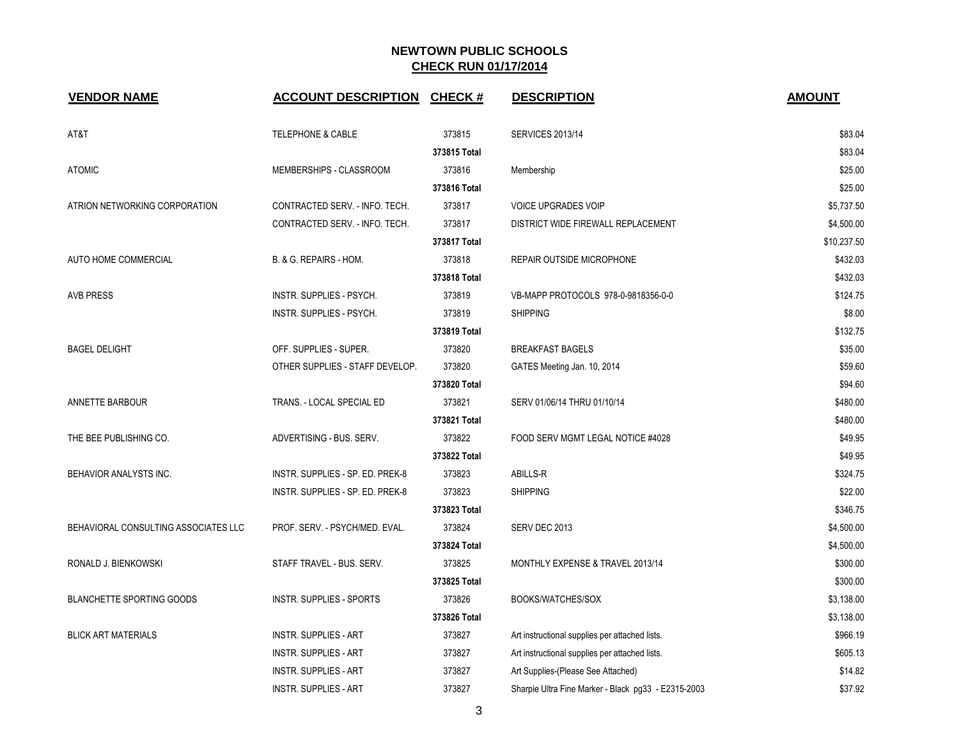| <b>VENDOR NAME</b>                   | <b>ACCOUNT DESCRIPTION CHECK #</b> |              | <b>DESCRIPTION</b>                                  | <b>AMOUNT</b> |
|--------------------------------------|------------------------------------|--------------|-----------------------------------------------------|---------------|
| AT&T                                 | <b>TELEPHONE &amp; CABLE</b>       | 373815       | <b>SERVICES 2013/14</b>                             | \$83.04       |
|                                      |                                    | 373815 Total |                                                     | \$83.04       |
| <b>ATOMIC</b>                        | MEMBERSHIPS - CLASSROOM            | 373816       | Membership                                          | \$25.00       |
|                                      |                                    | 373816 Total |                                                     | \$25.00       |
| ATRION NETWORKING CORPORATION        | CONTRACTED SERV. - INFO. TECH.     | 373817       | <b>VOICE UPGRADES VOIP</b>                          | \$5,737.50    |
|                                      | CONTRACTED SERV. - INFO. TECH.     | 373817       | DISTRICT WIDE FIREWALL REPLACEMENT                  | \$4,500.00    |
|                                      |                                    | 373817 Total |                                                     | \$10,237.50   |
| AUTO HOME COMMERCIAL                 | B. & G. REPAIRS - HOM.             | 373818       | REPAIR OUTSIDE MICROPHONE                           | \$432.03      |
|                                      |                                    | 373818 Total |                                                     | \$432.03      |
| <b>AVB PRESS</b>                     | INSTR. SUPPLIES - PSYCH.           | 373819       | VB-MAPP PROTOCOLS 978-0-9818356-0-0                 | \$124.75      |
|                                      | INSTR. SUPPLIES - PSYCH.           | 373819       | <b>SHIPPING</b>                                     | \$8.00        |
|                                      |                                    | 373819 Total |                                                     | \$132.75      |
| <b>BAGEL DELIGHT</b>                 | OFF. SUPPLIES - SUPER.             | 373820       | <b>BREAKFAST BAGELS</b>                             | \$35.00       |
|                                      | OTHER SUPPLIES - STAFF DEVELOP.    | 373820       | GATES Meeting Jan. 10, 2014                         | \$59.60       |
|                                      |                                    | 373820 Total |                                                     | \$94.60       |
| ANNETTE BARBOUR                      | TRANS. - LOCAL SPECIAL ED          | 373821       | SERV 01/06/14 THRU 01/10/14                         | \$480.00      |
|                                      |                                    | 373821 Total |                                                     | \$480.00      |
| THE BEE PUBLISHING CO.               | ADVERTISING - BUS. SERV.           | 373822       | FOOD SERV MGMT LEGAL NOTICE #4028                   | \$49.95       |
|                                      |                                    | 373822 Total |                                                     | \$49.95       |
| BEHAVIOR ANALYSTS INC.               | INSTR. SUPPLIES - SP. ED. PREK-8   | 373823       | ABILLS-R                                            | \$324.75      |
|                                      | INSTR. SUPPLIES - SP. ED. PREK-8   | 373823       | <b>SHIPPING</b>                                     | \$22.00       |
|                                      |                                    | 373823 Total |                                                     | \$346.75      |
| BEHAVIORAL CONSULTING ASSOCIATES LLC | PROF. SERV. - PSYCH/MED. EVAL.     | 373824       | SERV DEC 2013                                       | \$4,500.00    |
|                                      |                                    | 373824 Total |                                                     | \$4,500.00    |
| RONALD J. BIENKOWSKI                 | STAFF TRAVEL - BUS. SERV.          | 373825       | MONTHLY EXPENSE & TRAVEL 2013/14                    | \$300.00      |
|                                      |                                    | 373825 Total |                                                     | \$300.00      |
| <b>BLANCHETTE SPORTING GOODS</b>     | INSTR. SUPPLIES - SPORTS           | 373826       | BOOKS/WATCHES/SOX                                   | \$3,138.00    |
|                                      |                                    | 373826 Total |                                                     | \$3,138.00    |
| <b>BLICK ART MATERIALS</b>           | <b>INSTR. SUPPLIES - ART</b>       | 373827       | Art instructional supplies per attached lists.      | \$966.19      |
|                                      | <b>INSTR. SUPPLIES - ART</b>       | 373827       | Art instructional supplies per attached lists.      | \$605.13      |
|                                      | <b>INSTR. SUPPLIES - ART</b>       | 373827       | Art Supplies-(Please See Attached)                  | \$14.82       |
|                                      | <b>INSTR. SUPPLIES - ART</b>       | 373827       | Sharpie Ultra Fine Marker - Black pg33 - E2315-2003 | \$37.92       |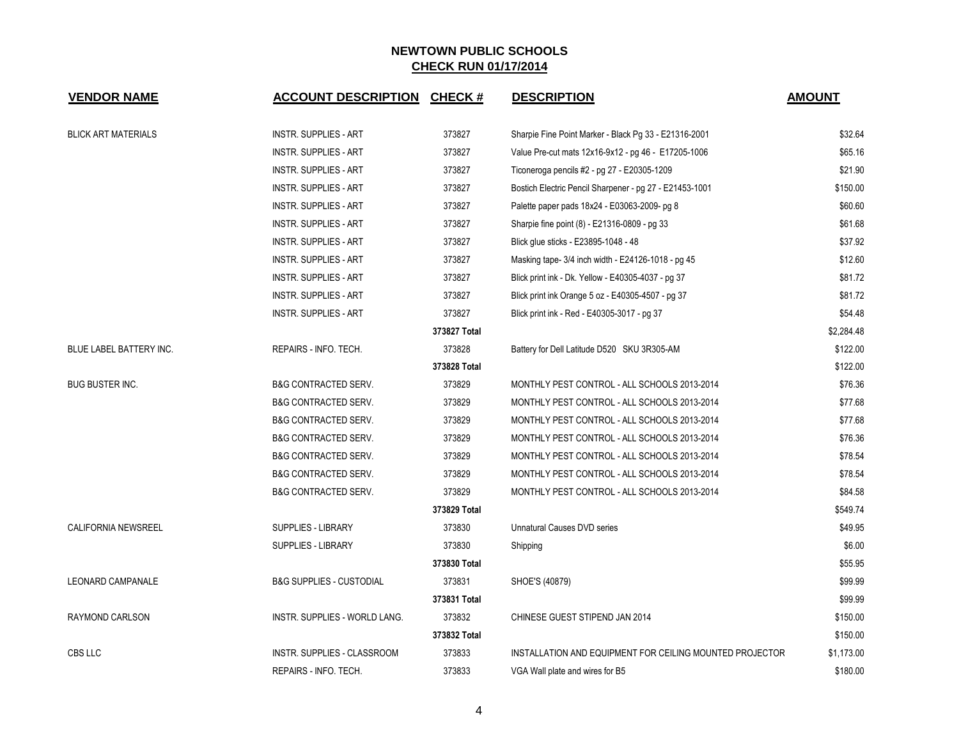| <b>VENDOR NAME</b>             | <b>ACCOUNT DESCRIPTION</b>          | <b>CHECK#</b> | <b>DESCRIPTION</b>                                       | <b>AMOUNT</b> |
|--------------------------------|-------------------------------------|---------------|----------------------------------------------------------|---------------|
| <b>BLICK ART MATERIALS</b>     | <b>INSTR. SUPPLIES - ART</b>        | 373827        | Sharpie Fine Point Marker - Black Pg 33 - E21316-2001    | \$32.64       |
|                                | <b>INSTR. SUPPLIES - ART</b>        | 373827        | Value Pre-cut mats 12x16-9x12 - pg 46 - E17205-1006      | \$65.16       |
|                                | <b>INSTR. SUPPLIES - ART</b>        | 373827        | Ticoneroga pencils #2 - pg 27 - E20305-1209              | \$21.90       |
|                                | <b>INSTR. SUPPLIES - ART</b>        | 373827        | Bostich Electric Pencil Sharpener - pg 27 - E21453-1001  | \$150.00      |
|                                | <b>INSTR. SUPPLIES - ART</b>        | 373827        | Palette paper pads 18x24 - E03063-2009- pg 8             | \$60.60       |
|                                | <b>INSTR. SUPPLIES - ART</b>        | 373827        | Sharpie fine point (8) - E21316-0809 - pg 33             | \$61.68       |
|                                | INSTR. SUPPLIES - ART               | 373827        | Blick glue sticks - E23895-1048 - 48                     | \$37.92       |
|                                | INSTR. SUPPLIES - ART               | 373827        | Masking tape- 3/4 inch width - E24126-1018 - pg 45       | \$12.60       |
|                                | INSTR. SUPPLIES - ART               | 373827        | Blick print ink - Dk. Yellow - E40305-4037 - pg 37       | \$81.72       |
|                                | <b>INSTR. SUPPLIES - ART</b>        | 373827        | Blick print ink Orange 5 oz - E40305-4507 - pg 37        | \$81.72       |
|                                | <b>INSTR. SUPPLIES - ART</b>        | 373827        | Blick print ink - Red - E40305-3017 - pg 37              | \$54.48       |
|                                |                                     | 373827 Total  |                                                          | \$2,284.48    |
| <b>BLUE LABEL BATTERY INC.</b> | REPAIRS - INFO. TECH.               | 373828        | Battery for Dell Latitude D520 SKU 3R305-AM              | \$122.00      |
|                                |                                     | 373828 Total  |                                                          | \$122.00      |
| <b>BUG BUSTER INC.</b>         | <b>B&amp;G CONTRACTED SERV.</b>     | 373829        | MONTHLY PEST CONTROL - ALL SCHOOLS 2013-2014             | \$76.36       |
|                                | <b>B&amp;G CONTRACTED SERV.</b>     | 373829        | MONTHLY PEST CONTROL - ALL SCHOOLS 2013-2014             | \$77.68       |
|                                | <b>B&amp;G CONTRACTED SERV.</b>     | 373829        | MONTHLY PEST CONTROL - ALL SCHOOLS 2013-2014             | \$77.68       |
|                                | <b>B&amp;G CONTRACTED SERV.</b>     | 373829        | MONTHLY PEST CONTROL - ALL SCHOOLS 2013-2014             | \$76.36       |
|                                | <b>B&amp;G CONTRACTED SERV.</b>     | 373829        | MONTHLY PEST CONTROL - ALL SCHOOLS 2013-2014             | \$78.54       |
|                                | <b>B&amp;G CONTRACTED SERV.</b>     | 373829        | MONTHLY PEST CONTROL - ALL SCHOOLS 2013-2014             | \$78.54       |
|                                | <b>B&amp;G CONTRACTED SERV.</b>     | 373829        | MONTHLY PEST CONTROL - ALL SCHOOLS 2013-2014             | \$84.58       |
|                                |                                     | 373829 Total  |                                                          | \$549.74      |
| <b>CALIFORNIA NEWSREEL</b>     | SUPPLIES - LIBRARY                  | 373830        | Unnatural Causes DVD series                              | \$49.95       |
|                                | <b>SUPPLIES - LIBRARY</b>           | 373830        | Shipping                                                 | \$6.00        |
|                                |                                     | 373830 Total  |                                                          | \$55.95       |
| <b>LEONARD CAMPANALE</b>       | <b>B&amp;G SUPPLIES - CUSTODIAL</b> | 373831        | SHOE'S (40879)                                           | \$99.99       |
|                                |                                     | 373831 Total  |                                                          | \$99.99       |
| RAYMOND CARLSON                | INSTR. SUPPLIES - WORLD LANG.       | 373832        | CHINESE GUEST STIPEND JAN 2014                           | \$150.00      |
|                                |                                     | 373832 Total  |                                                          | \$150.00      |
| CBS LLC                        | <b>INSTR. SUPPLIES - CLASSROOM</b>  | 373833        | INSTALLATION AND EQUIPMENT FOR CEILING MOUNTED PROJECTOR | \$1,173.00    |
|                                | REPAIRS - INFO. TECH.               | 373833        | VGA Wall plate and wires for B5                          | \$180.00      |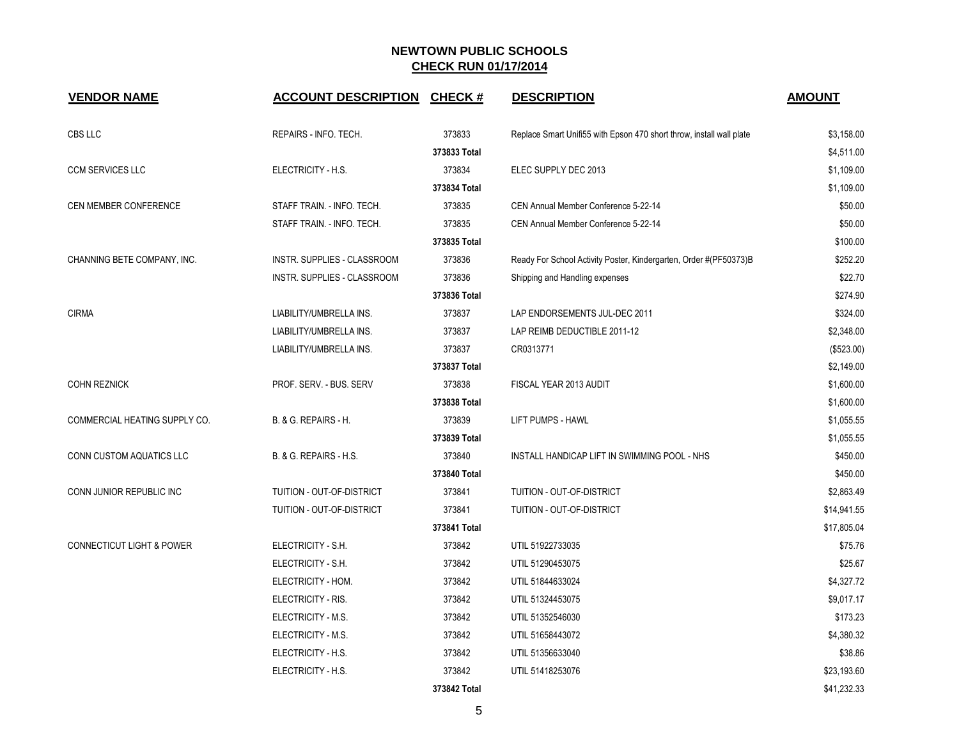| <b>VENDOR NAME</b>                   | <b>ACCOUNT DESCRIPTION CHECK #</b> |              | <b>DESCRIPTION</b>                                                   | <b>AMOUNT</b> |
|--------------------------------------|------------------------------------|--------------|----------------------------------------------------------------------|---------------|
| CBS LLC                              | REPAIRS - INFO. TECH.              | 373833       | Replace Smart Unifi55 with Epson 470 short throw, install wall plate | \$3,158.00    |
|                                      |                                    | 373833 Total |                                                                      | \$4,511.00    |
| <b>CCM SERVICES LLC</b>              | ELECTRICITY - H.S.                 | 373834       | ELEC SUPPLY DEC 2013                                                 | \$1,109.00    |
|                                      |                                    | 373834 Total |                                                                      | \$1,109.00    |
| CEN MEMBER CONFERENCE                | STAFF TRAIN. - INFO. TECH.         | 373835       | CEN Annual Member Conference 5-22-14                                 | \$50.00       |
|                                      | STAFF TRAIN. - INFO. TECH.         | 373835       | CEN Annual Member Conference 5-22-14                                 | \$50.00       |
|                                      |                                    | 373835 Total |                                                                      | \$100.00      |
| CHANNING BETE COMPANY, INC.          | INSTR. SUPPLIES - CLASSROOM        | 373836       | Ready For School Activity Poster, Kindergarten, Order #(PF50373)B    | \$252.20      |
|                                      | INSTR. SUPPLIES - CLASSROOM        | 373836       | Shipping and Handling expenses                                       | \$22.70       |
|                                      |                                    | 373836 Total |                                                                      | \$274.90      |
| <b>CIRMA</b>                         | LIABILITY/UMBRELLA INS.            | 373837       | LAP ENDORSEMENTS JUL-DEC 2011                                        | \$324.00      |
|                                      | LIABILITY/UMBRELLA INS.            | 373837       | LAP REIMB DEDUCTIBLE 2011-12                                         | \$2,348.00    |
|                                      | LIABILITY/UMBRELLA INS.            | 373837       | CR0313771                                                            | (\$523.00)    |
|                                      |                                    | 373837 Total |                                                                      | \$2,149.00    |
| <b>COHN REZNICK</b>                  | PROF. SERV. - BUS. SERV            | 373838       | FISCAL YEAR 2013 AUDIT                                               | \$1,600.00    |
|                                      |                                    | 373838 Total |                                                                      | \$1,600.00    |
| COMMERCIAL HEATING SUPPLY CO.        | B. & G. REPAIRS - H.               | 373839       | LIFT PUMPS - HAWL                                                    | \$1,055.55    |
|                                      |                                    | 373839 Total |                                                                      | \$1,055.55    |
| CONN CUSTOM AQUATICS LLC             | B. & G. REPAIRS - H.S.             | 373840       | INSTALL HANDICAP LIFT IN SWIMMING POOL - NHS                         | \$450.00      |
|                                      |                                    | 373840 Total |                                                                      | \$450.00      |
| CONN JUNIOR REPUBLIC INC             | TUITION - OUT-OF-DISTRICT          | 373841       | TUITION - OUT-OF-DISTRICT                                            | \$2,863.49    |
|                                      | TUITION - OUT-OF-DISTRICT          | 373841       | TUITION - OUT-OF-DISTRICT                                            | \$14,941.55   |
|                                      |                                    | 373841 Total |                                                                      | \$17,805.04   |
| <b>CONNECTICUT LIGHT &amp; POWER</b> | ELECTRICITY - S.H.                 | 373842       | UTIL 51922733035                                                     | \$75.76       |
|                                      | ELECTRICITY - S.H.                 | 373842       | UTIL 51290453075                                                     | \$25.67       |
|                                      | ELECTRICITY - HOM.                 | 373842       | UTIL 51844633024                                                     | \$4,327.72    |
|                                      | ELECTRICITY - RIS.                 | 373842       | UTIL 51324453075                                                     | \$9,017.17    |
|                                      | ELECTRICITY - M.S.                 | 373842       | UTIL 51352546030                                                     | \$173.23      |
|                                      | ELECTRICITY - M.S.                 | 373842       | UTIL 51658443072                                                     | \$4,380.32    |
|                                      | ELECTRICITY - H.S.                 | 373842       | UTIL 51356633040                                                     | \$38.86       |
|                                      | ELECTRICITY - H.S.                 | 373842       | UTIL 51418253076                                                     | \$23,193.60   |
|                                      |                                    | 373842 Total |                                                                      | \$41,232.33   |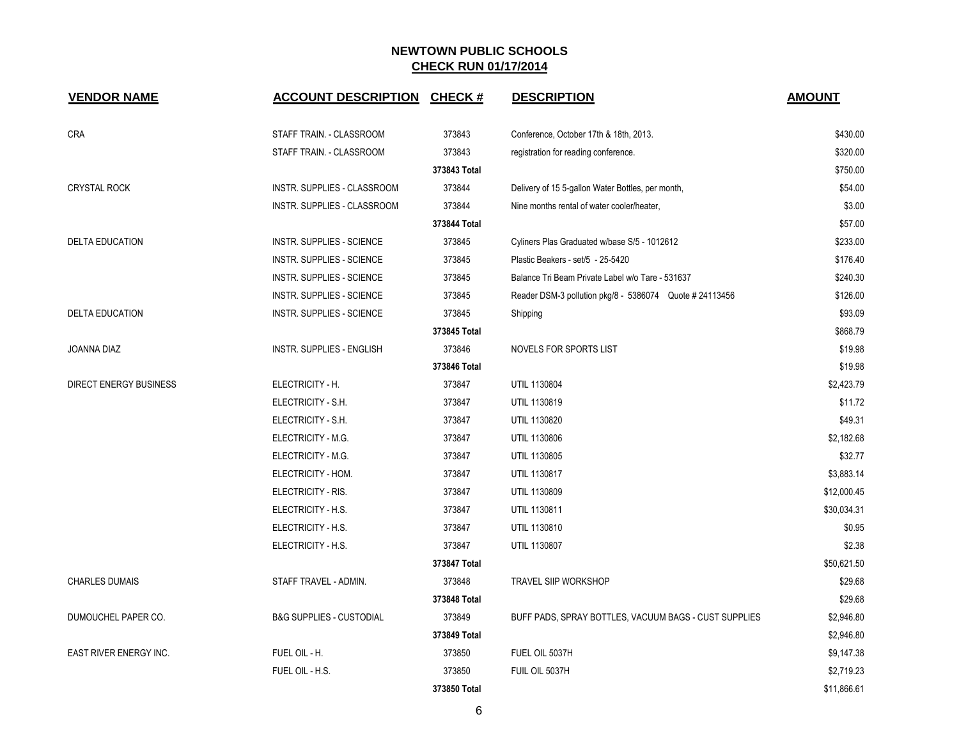| <b>VENDOR NAME</b>            | <b>ACCOUNT DESCRIPTION</b>          | <b>CHECK#</b> | <b>DESCRIPTION</b>                                      | <b>AMOUNT</b> |
|-------------------------------|-------------------------------------|---------------|---------------------------------------------------------|---------------|
| <b>CRA</b>                    | STAFF TRAIN. - CLASSROOM            | 373843        | Conference, October 17th & 18th, 2013.                  | \$430.00      |
|                               | STAFF TRAIN. - CLASSROOM            | 373843        | registration for reading conference.                    | \$320.00      |
|                               |                                     | 373843 Total  |                                                         | \$750.00      |
| <b>CRYSTAL ROCK</b>           | INSTR. SUPPLIES - CLASSROOM         | 373844        | Delivery of 15 5-gallon Water Bottles, per month,       | \$54.00       |
|                               | INSTR. SUPPLIES - CLASSROOM         | 373844        | Nine months rental of water cooler/heater,              | \$3.00        |
|                               |                                     | 373844 Total  |                                                         | \$57.00       |
| <b>DELTA EDUCATION</b>        | <b>INSTR. SUPPLIES - SCIENCE</b>    | 373845        | Cyliners Plas Graduated w/base S/5 - 1012612            | \$233.00      |
|                               | <b>INSTR. SUPPLIES - SCIENCE</b>    | 373845        | Plastic Beakers - set/5 - 25-5420                       | \$176.40      |
|                               | <b>INSTR. SUPPLIES - SCIENCE</b>    | 373845        | Balance Tri Beam Private Label w/o Tare - 531637        | \$240.30      |
|                               | <b>INSTR. SUPPLIES - SCIENCE</b>    | 373845        | Reader DSM-3 pollution pkg/8 - 5386074 Quote # 24113456 | \$126.00      |
| <b>DELTA EDUCATION</b>        | <b>INSTR. SUPPLIES - SCIENCE</b>    | 373845        | Shipping                                                | \$93.09       |
|                               |                                     | 373845 Total  |                                                         | \$868.79      |
| <b>JOANNA DIAZ</b>            | <b>INSTR. SUPPLIES - ENGLISH</b>    | 373846        | NOVELS FOR SPORTS LIST                                  | \$19.98       |
|                               |                                     | 373846 Total  |                                                         | \$19.98       |
| <b>DIRECT ENERGY BUSINESS</b> | ELECTRICITY - H.                    | 373847        | UTIL 1130804                                            | \$2,423.79    |
|                               | ELECTRICITY - S.H.                  | 373847        | UTIL 1130819                                            | \$11.72       |
|                               | ELECTRICITY - S.H.                  | 373847        | UTIL 1130820                                            | \$49.31       |
|                               | ELECTRICITY - M.G.                  | 373847        | UTIL 1130806                                            | \$2,182.68    |
|                               | ELECTRICITY - M.G.                  | 373847        | UTIL 1130805                                            | \$32.77       |
|                               | ELECTRICITY - HOM.                  | 373847        | UTIL 1130817                                            | \$3,883.14    |
|                               | ELECTRICITY - RIS.                  | 373847        | UTIL 1130809                                            | \$12,000.45   |
|                               | ELECTRICITY - H.S.                  | 373847        | UTIL 1130811                                            | \$30,034.31   |
|                               | ELECTRICITY - H.S.                  | 373847        | UTIL 1130810                                            | \$0.95        |
|                               | ELECTRICITY - H.S.                  | 373847        | UTIL 1130807                                            | \$2.38        |
|                               |                                     | 373847 Total  |                                                         | \$50,621.50   |
| <b>CHARLES DUMAIS</b>         | STAFF TRAVEL - ADMIN.               | 373848        | <b>TRAVEL SIIP WORKSHOP</b>                             | \$29.68       |
|                               |                                     | 373848 Total  |                                                         | \$29.68       |
| DUMOUCHEL PAPER CO.           | <b>B&amp;G SUPPLIES - CUSTODIAL</b> | 373849        | BUFF PADS, SPRAY BOTTLES, VACUUM BAGS - CUST SUPPLIES   | \$2,946.80    |
|                               |                                     | 373849 Total  |                                                         | \$2,946.80    |
| EAST RIVER ENERGY INC.        | FUEL OIL - H.                       | 373850        | FUEL OIL 5037H                                          | \$9,147.38    |
|                               | FUEL OIL - H.S.                     | 373850        | FUIL OIL 5037H                                          | \$2,719.23    |
|                               |                                     | 373850 Total  |                                                         | \$11,866.61   |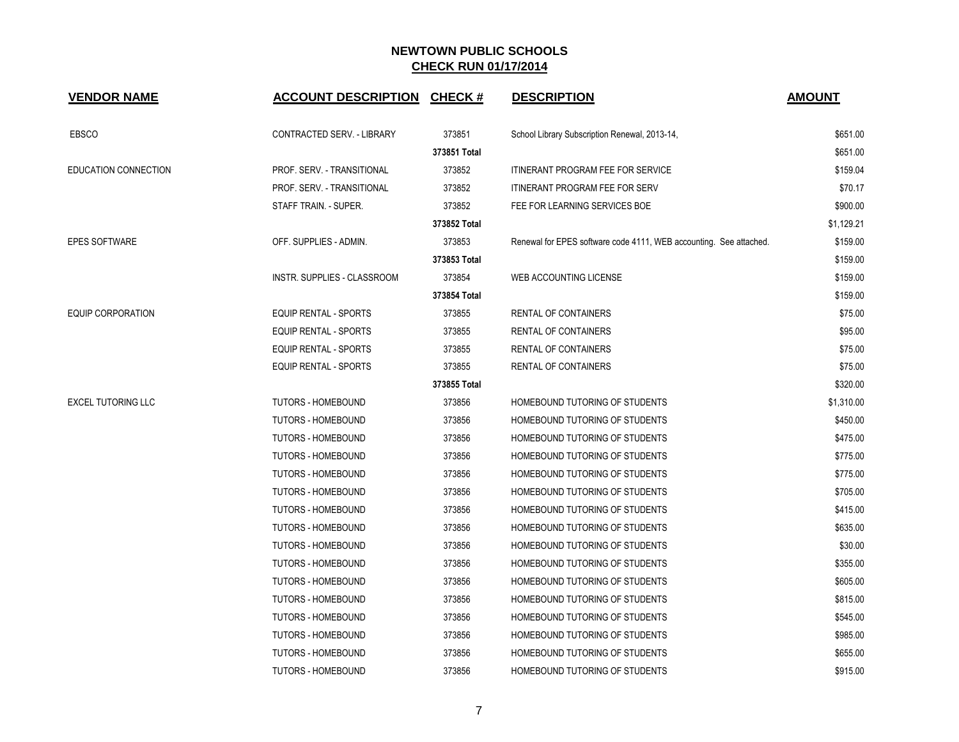| <b>VENDOR NAME</b>          | <b>ACCOUNT DESCRIPTION</b>         | <b>CHECK#</b> | <b>DESCRIPTION</b>                                                 | <b>AMOUNT</b> |
|-----------------------------|------------------------------------|---------------|--------------------------------------------------------------------|---------------|
| EBSCO                       | CONTRACTED SERV. - LIBRARY         | 373851        | School Library Subscription Renewal, 2013-14,                      | \$651.00      |
|                             |                                    | 373851 Total  |                                                                    | \$651.00      |
| <b>EDUCATION CONNECTION</b> | PROF. SERV. - TRANSITIONAL         | 373852        | <b>ITINERANT PROGRAM FEE FOR SERVICE</b>                           | \$159.04      |
|                             | PROF. SERV. - TRANSITIONAL         | 373852        | ITINERANT PROGRAM FEE FOR SERV                                     | \$70.17       |
|                             | STAFF TRAIN. - SUPER.              | 373852        | FEE FOR LEARNING SERVICES BOE                                      | \$900.00      |
|                             |                                    | 373852 Total  |                                                                    | \$1,129.21    |
| <b>EPES SOFTWARE</b>        | OFF. SUPPLIES - ADMIN.             | 373853        | Renewal for EPES software code 4111, WEB accounting. See attached. | \$159.00      |
|                             |                                    | 373853 Total  |                                                                    | \$159.00      |
|                             | <b>INSTR. SUPPLIES - CLASSROOM</b> | 373854        | <b>WEB ACCOUNTING LICENSE</b>                                      | \$159.00      |
|                             |                                    | 373854 Total  |                                                                    | \$159.00      |
| <b>EQUIP CORPORATION</b>    | EQUIP RENTAL - SPORTS              | 373855        | <b>RENTAL OF CONTAINERS</b>                                        | \$75.00       |
|                             | EQUIP RENTAL - SPORTS              | 373855        | RENTAL OF CONTAINERS                                               | \$95.00       |
|                             | EQUIP RENTAL - SPORTS              | 373855        | RENTAL OF CONTAINERS                                               | \$75.00       |
|                             | <b>EQUIP RENTAL - SPORTS</b>       | 373855        | RENTAL OF CONTAINERS                                               | \$75.00       |
|                             |                                    | 373855 Total  |                                                                    | \$320.00      |
| <b>EXCEL TUTORING LLC</b>   | <b>TUTORS - HOMEBOUND</b>          | 373856        | HOMEBOUND TUTORING OF STUDENTS                                     | \$1,310.00    |
|                             | TUTORS - HOMEBOUND                 | 373856        | HOMEBOUND TUTORING OF STUDENTS                                     | \$450.00      |
|                             | <b>TUTORS - HOMEBOUND</b>          | 373856        | HOMEBOUND TUTORING OF STUDENTS                                     | \$475.00      |
|                             | <b>TUTORS - HOMEBOUND</b>          | 373856        | HOMEBOUND TUTORING OF STUDENTS                                     | \$775.00      |
|                             | <b>TUTORS - HOMEBOUND</b>          | 373856        | HOMEBOUND TUTORING OF STUDENTS                                     | \$775.00      |
|                             | TUTORS - HOMEBOUND                 | 373856        | HOMEBOUND TUTORING OF STUDENTS                                     | \$705.00      |
|                             | TUTORS - HOMEBOUND                 | 373856        | HOMEBOUND TUTORING OF STUDENTS                                     | \$415.00      |
|                             | <b>TUTORS - HOMEBOUND</b>          | 373856        | HOMEBOUND TUTORING OF STUDENTS                                     | \$635.00      |
|                             | TUTORS - HOMEBOUND                 | 373856        | HOMEBOUND TUTORING OF STUDENTS                                     | \$30.00       |
|                             | <b>TUTORS - HOMEBOUND</b>          | 373856        | HOMEBOUND TUTORING OF STUDENTS                                     | \$355.00      |
|                             | <b>TUTORS - HOMEBOUND</b>          | 373856        | HOMEBOUND TUTORING OF STUDENTS                                     | \$605.00      |
|                             | <b>TUTORS - HOMEBOUND</b>          | 373856        | HOMEBOUND TUTORING OF STUDENTS                                     | \$815.00      |
|                             | TUTORS - HOMEBOUND                 | 373856        | HOMEBOUND TUTORING OF STUDENTS                                     | \$545.00      |
|                             | TUTORS - HOMEBOUND                 | 373856        | HOMEBOUND TUTORING OF STUDENTS                                     | \$985.00      |
|                             | <b>TUTORS - HOMEBOUND</b>          | 373856        | HOMEBOUND TUTORING OF STUDENTS                                     | \$655.00      |
|                             | <b>TUTORS - HOMEBOUND</b>          | 373856        | HOMEBOUND TUTORING OF STUDENTS                                     | \$915.00      |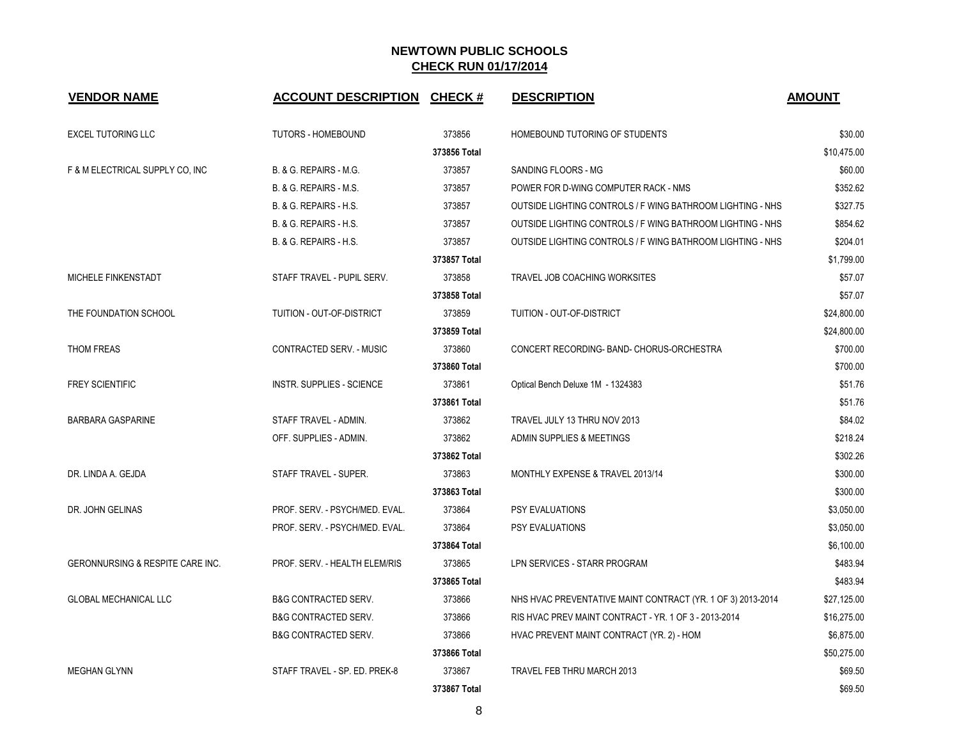| <b>VENDOR NAME</b>               | <b>ACCOUNT DESCRIPTION</b>       | CHECK #      | <b>DESCRIPTION</b>                                          | <b>AMOUNT</b> |
|----------------------------------|----------------------------------|--------------|-------------------------------------------------------------|---------------|
| <b>EXCEL TUTORING LLC</b>        | <b>TUTORS - HOMEBOUND</b>        | 373856       | HOMEBOUND TUTORING OF STUDENTS                              | \$30.00       |
|                                  |                                  | 373856 Total |                                                             | \$10.475.00   |
| F & M ELECTRICAL SUPPLY CO, INC  | B. & G. REPAIRS - M.G.           | 373857       | SANDING FLOORS - MG                                         | \$60.00       |
|                                  | B. & G. REPAIRS - M.S.           | 373857       | POWER FOR D-WING COMPUTER RACK - NMS                        | \$352.62      |
|                                  | B. & G. REPAIRS - H.S.           | 373857       | OUTSIDE LIGHTING CONTROLS / F WING BATHROOM LIGHTING - NHS  | \$327.75      |
|                                  | B. & G. REPAIRS - H.S.           | 373857       | OUTSIDE LIGHTING CONTROLS / F WING BATHROOM LIGHTING - NHS  | \$854.62      |
|                                  | B. & G. REPAIRS - H.S.           | 373857       | OUTSIDE LIGHTING CONTROLS / F WING BATHROOM LIGHTING - NHS  | \$204.01      |
|                                  |                                  | 373857 Total |                                                             | \$1,799.00    |
| MICHELE FINKENSTADT              | STAFF TRAVEL - PUPIL SERV.       | 373858       | TRAVEL JOB COACHING WORKSITES                               | \$57.07       |
|                                  |                                  | 373858 Total |                                                             | \$57.07       |
| THE FOUNDATION SCHOOL            | TUITION - OUT-OF-DISTRICT        | 373859       | TUITION - OUT-OF-DISTRICT                                   | \$24,800.00   |
|                                  |                                  | 373859 Total |                                                             | \$24,800.00   |
| THOM FREAS                       | CONTRACTED SERV. - MUSIC         | 373860       | CONCERT RECORDING- BAND- CHORUS-ORCHESTRA                   | \$700.00      |
|                                  |                                  | 373860 Total |                                                             | \$700.00      |
| <b>FREY SCIENTIFIC</b>           | <b>INSTR. SUPPLIES - SCIENCE</b> | 373861       | Optical Bench Deluxe 1M - 1324383                           | \$51.76       |
|                                  |                                  | 373861 Total |                                                             | \$51.76       |
| <b>BARBARA GASPARINE</b>         | STAFF TRAVEL - ADMIN.            | 373862       | TRAVEL JULY 13 THRU NOV 2013                                | \$84.02       |
|                                  | OFF. SUPPLIES - ADMIN.           | 373862       | ADMIN SUPPLIES & MEETINGS                                   | \$218.24      |
|                                  |                                  | 373862 Total |                                                             | \$302.26      |
| DR. LINDA A. GEJDA               | STAFF TRAVEL - SUPER.            | 373863       | MONTHLY EXPENSE & TRAVEL 2013/14                            | \$300.00      |
|                                  |                                  | 373863 Total |                                                             | \$300.00      |
| DR. JOHN GELINAS                 | PROF. SERV. - PSYCH/MED. EVAL.   | 373864       | PSY EVALUATIONS                                             | \$3,050.00    |
|                                  | PROF. SERV. - PSYCH/MED. EVAL.   | 373864       | PSY EVALUATIONS                                             | \$3,050.00    |
|                                  |                                  | 373864 Total |                                                             | \$6,100.00    |
| GERONNURSING & RESPITE CARE INC. | PROF. SERV. - HEALTH ELEM/RIS    | 373865       | LPN SERVICES - STARR PROGRAM                                | \$483.94      |
|                                  |                                  | 373865 Total |                                                             | \$483.94      |
| <b>GLOBAL MECHANICAL LLC</b>     | <b>B&amp;G CONTRACTED SERV.</b>  | 373866       | NHS HVAC PREVENTATIVE MAINT CONTRACT (YR. 1 OF 3) 2013-2014 | \$27,125.00   |
|                                  | <b>B&amp;G CONTRACTED SERV.</b>  | 373866       | RIS HVAC PREV MAINT CONTRACT - YR. 1 OF 3 - 2013-2014       | \$16,275.00   |
|                                  | <b>B&amp;G CONTRACTED SERV.</b>  | 373866       | HVAC PREVENT MAINT CONTRACT (YR. 2) - HOM                   | \$6,875.00    |
|                                  |                                  | 373866 Total |                                                             | \$50,275.00   |
| <b>MEGHAN GLYNN</b>              | STAFF TRAVEL - SP. ED. PREK-8    | 373867       | TRAVEL FEB THRU MARCH 2013                                  | \$69.50       |
|                                  |                                  | 373867 Total |                                                             | \$69.50       |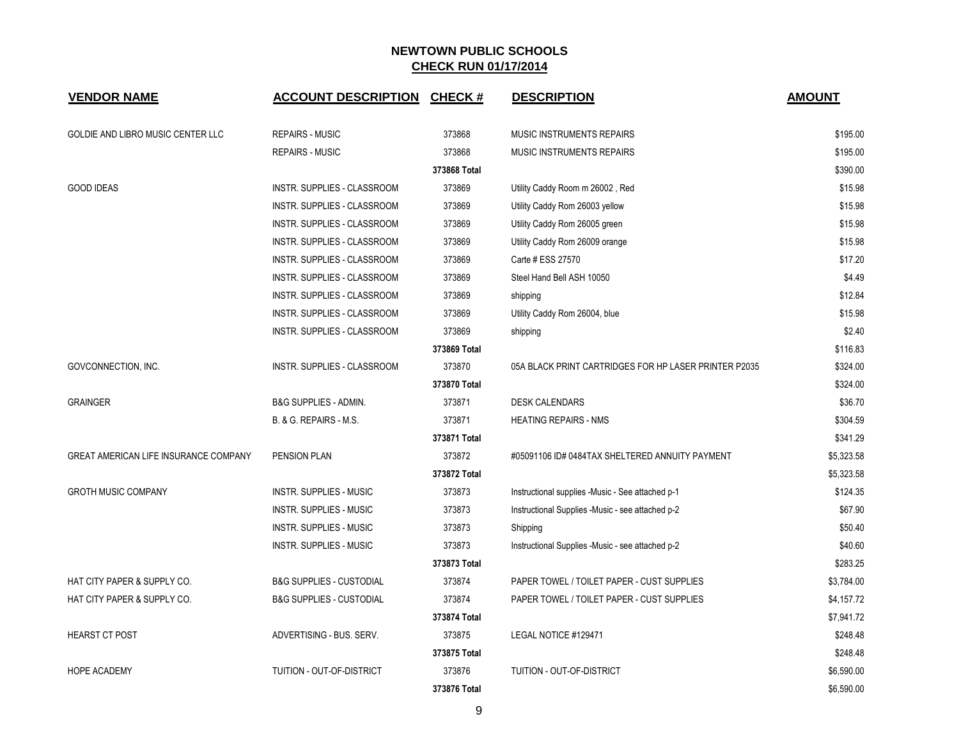| <b>VENDOR NAME</b>                           | <b>ACCOUNT DESCRIPTION</b>          | <b>CHECK#</b> | <b>DESCRIPTION</b>                                    | <b>AMOUNT</b> |
|----------------------------------------------|-------------------------------------|---------------|-------------------------------------------------------|---------------|
| GOLDIE AND LIBRO MUSIC CENTER LLC            | <b>REPAIRS - MUSIC</b>              | 373868        | MUSIC INSTRUMENTS REPAIRS                             | \$195.00      |
|                                              | <b>REPAIRS - MUSIC</b>              | 373868        | MUSIC INSTRUMENTS REPAIRS                             | \$195.00      |
|                                              |                                     | 373868 Total  |                                                       | \$390.00      |
| <b>GOOD IDEAS</b>                            | INSTR. SUPPLIES - CLASSROOM         | 373869        | Utility Caddy Room m 26002, Red                       | \$15.98       |
|                                              | INSTR. SUPPLIES - CLASSROOM         | 373869        | Utility Caddy Rom 26003 yellow                        | \$15.98       |
|                                              | INSTR. SUPPLIES - CLASSROOM         | 373869        | Utility Caddy Rom 26005 green                         | \$15.98       |
|                                              | INSTR. SUPPLIES - CLASSROOM         | 373869        | Utility Caddy Rom 26009 orange                        | \$15.98       |
|                                              | INSTR. SUPPLIES - CLASSROOM         | 373869        | Carte # ESS 27570                                     | \$17.20       |
|                                              | INSTR. SUPPLIES - CLASSROOM         | 373869        | Steel Hand Bell ASH 10050                             | \$4.49        |
|                                              | INSTR. SUPPLIES - CLASSROOM         | 373869        | shipping                                              | \$12.84       |
|                                              | INSTR. SUPPLIES - CLASSROOM         | 373869        | Utility Caddy Rom 26004, blue                         | \$15.98       |
|                                              | INSTR. SUPPLIES - CLASSROOM         | 373869        | shipping                                              | \$2.40        |
|                                              |                                     | 373869 Total  |                                                       | \$116.83      |
| GOVCONNECTION, INC.                          | INSTR. SUPPLIES - CLASSROOM         | 373870        | 05A BLACK PRINT CARTRIDGES FOR HP LASER PRINTER P2035 | \$324.00      |
|                                              |                                     | 373870 Total  |                                                       | \$324.00      |
| <b>GRAINGER</b>                              | B&G SUPPLIES - ADMIN.               | 373871        | <b>DESK CALENDARS</b>                                 | \$36.70       |
|                                              | B. & G. REPAIRS - M.S.              | 373871        | <b>HEATING REPAIRS - NMS</b>                          | \$304.59      |
|                                              |                                     | 373871 Total  |                                                       | \$341.29      |
| <b>GREAT AMERICAN LIFE INSURANCE COMPANY</b> | <b>PENSION PLAN</b>                 | 373872        | #05091106 ID# 0484TAX SHELTERED ANNUITY PAYMENT       | \$5,323.58    |
|                                              |                                     | 373872 Total  |                                                       | \$5,323.58    |
| <b>GROTH MUSIC COMPANY</b>                   | <b>INSTR. SUPPLIES - MUSIC</b>      | 373873        | Instructional supplies -Music - See attached p-1      | \$124.35      |
|                                              | <b>INSTR. SUPPLIES - MUSIC</b>      | 373873        | Instructional Supplies - Music - see attached p-2     | \$67.90       |
|                                              | <b>INSTR. SUPPLIES - MUSIC</b>      | 373873        | Shipping                                              | \$50.40       |
|                                              | <b>INSTR. SUPPLIES - MUSIC</b>      | 373873        | Instructional Supplies -Music - see attached p-2      | \$40.60       |
|                                              |                                     | 373873 Total  |                                                       | \$283.25      |
| HAT CITY PAPER & SUPPLY CO.                  | <b>B&amp;G SUPPLIES - CUSTODIAL</b> | 373874        | PAPER TOWEL / TOILET PAPER - CUST SUPPLIES            | \$3,784.00    |
| HAT CITY PAPER & SUPPLY CO.                  | <b>B&amp;G SUPPLIES - CUSTODIAL</b> | 373874        | PAPER TOWEL / TOILET PAPER - CUST SUPPLIES            | \$4,157.72    |
|                                              |                                     | 373874 Total  |                                                       | \$7,941.72    |
| <b>HEARST CT POST</b>                        | ADVERTISING - BUS. SERV.            | 373875        | LEGAL NOTICE #129471                                  | \$248.48      |
|                                              |                                     | 373875 Total  |                                                       | \$248.48      |
| <b>HOPE ACADEMY</b>                          | TUITION - OUT-OF-DISTRICT           | 373876        | TUITION - OUT-OF-DISTRICT                             | \$6,590.00    |
|                                              |                                     | 373876 Total  |                                                       | \$6,590.00    |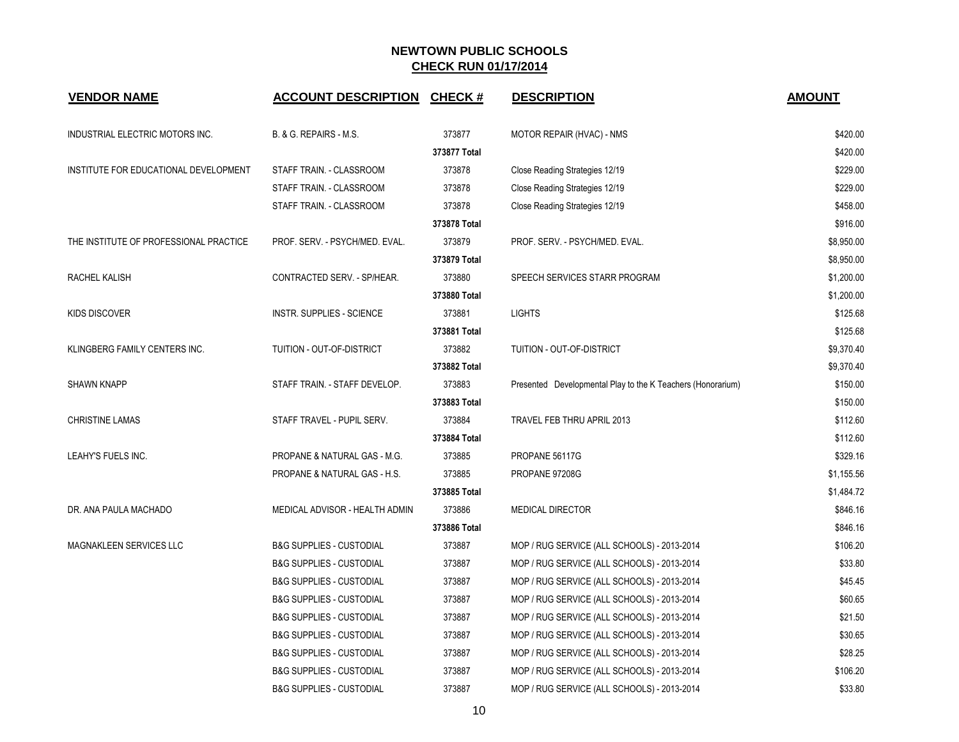| <b>VENDOR NAME</b>                     | <b>ACCOUNT DESCRIPTION</b>          | <b>CHECK#</b> | <b>DESCRIPTION</b>                                          | <b>AMOUNT</b> |
|----------------------------------------|-------------------------------------|---------------|-------------------------------------------------------------|---------------|
| INDUSTRIAL ELECTRIC MOTORS INC.        | B. & G. REPAIRS - M.S.              | 373877        | MOTOR REPAIR (HVAC) - NMS                                   | \$420.00      |
|                                        |                                     | 373877 Total  |                                                             | \$420.00      |
| INSTITUTE FOR EDUCATIONAL DEVELOPMENT  | STAFF TRAIN. - CLASSROOM            | 373878        | Close Reading Strategies 12/19                              | \$229.00      |
|                                        | STAFF TRAIN. - CLASSROOM            | 373878        | Close Reading Strategies 12/19                              | \$229.00      |
|                                        | STAFF TRAIN. - CLASSROOM            | 373878        | Close Reading Strategies 12/19                              | \$458.00      |
|                                        |                                     | 373878 Total  |                                                             | \$916.00      |
| THE INSTITUTE OF PROFESSIONAL PRACTICE | PROF. SERV. - PSYCH/MED. EVAL.      | 373879        | PROF. SERV. - PSYCH/MED. EVAL.                              | \$8,950.00    |
|                                        |                                     | 373879 Total  |                                                             | \$8,950.00    |
| RACHEL KALISH                          | CONTRACTED SERV. - SP/HEAR.         | 373880        | SPEECH SERVICES STARR PROGRAM                               | \$1,200.00    |
|                                        |                                     | 373880 Total  |                                                             | \$1,200.00    |
| <b>KIDS DISCOVER</b>                   | <b>INSTR. SUPPLIES - SCIENCE</b>    | 373881        | <b>LIGHTS</b>                                               | \$125.68      |
|                                        |                                     | 373881 Total  |                                                             | \$125.68      |
| KLINGBERG FAMILY CENTERS INC.          | TUITION - OUT-OF-DISTRICT           | 373882        | TUITION - OUT-OF-DISTRICT                                   | \$9,370.40    |
|                                        |                                     | 373882 Total  |                                                             | \$9,370.40    |
| <b>SHAWN KNAPP</b>                     | STAFF TRAIN. - STAFF DEVELOP.       | 373883        | Presented Developmental Play to the K Teachers (Honorarium) | \$150.00      |
|                                        |                                     | 373883 Total  |                                                             | \$150.00      |
| <b>CHRISTINE LAMAS</b>                 | STAFF TRAVEL - PUPIL SERV.          | 373884        | TRAVEL FEB THRU APRIL 2013                                  | \$112.60      |
|                                        |                                     | 373884 Total  |                                                             | \$112.60      |
| LEAHY'S FUELS INC.                     | PROPANE & NATURAL GAS - M.G.        | 373885        | PROPANE 56117G                                              | \$329.16      |
|                                        | PROPANE & NATURAL GAS - H.S.        | 373885        | PROPANE 97208G                                              | \$1,155.56    |
|                                        |                                     | 373885 Total  |                                                             | \$1,484.72    |
| DR. ANA PAULA MACHADO                  | MEDICAL ADVISOR - HEALTH ADMIN      | 373886        | <b>MEDICAL DIRECTOR</b>                                     | \$846.16      |
|                                        |                                     | 373886 Total  |                                                             | \$846.16      |
| MAGNAKLEEN SERVICES LLC                | <b>B&amp;G SUPPLIES - CUSTODIAL</b> | 373887        | MOP / RUG SERVICE (ALL SCHOOLS) - 2013-2014                 | \$106.20      |
|                                        | <b>B&amp;G SUPPLIES - CUSTODIAL</b> | 373887        | MOP / RUG SERVICE (ALL SCHOOLS) - 2013-2014                 | \$33.80       |
|                                        | <b>B&amp;G SUPPLIES - CUSTODIAL</b> | 373887        | MOP / RUG SERVICE (ALL SCHOOLS) - 2013-2014                 | \$45.45       |
|                                        | <b>B&amp;G SUPPLIES - CUSTODIAL</b> | 373887        | MOP / RUG SERVICE (ALL SCHOOLS) - 2013-2014                 | \$60.65       |
|                                        | <b>B&amp;G SUPPLIES - CUSTODIAL</b> | 373887        | MOP / RUG SERVICE (ALL SCHOOLS) - 2013-2014                 | \$21.50       |
|                                        | <b>B&amp;G SUPPLIES - CUSTODIAL</b> | 373887        | MOP / RUG SERVICE (ALL SCHOOLS) - 2013-2014                 | \$30.65       |
|                                        | <b>B&amp;G SUPPLIES - CUSTODIAL</b> | 373887        | MOP / RUG SERVICE (ALL SCHOOLS) - 2013-2014                 | \$28.25       |
|                                        | <b>B&amp;G SUPPLIES - CUSTODIAL</b> | 373887        | MOP / RUG SERVICE (ALL SCHOOLS) - 2013-2014                 | \$106.20      |
|                                        | <b>B&amp;G SUPPLIES - CUSTODIAL</b> | 373887        | MOP / RUG SERVICE (ALL SCHOOLS) - 2013-2014                 | \$33.80       |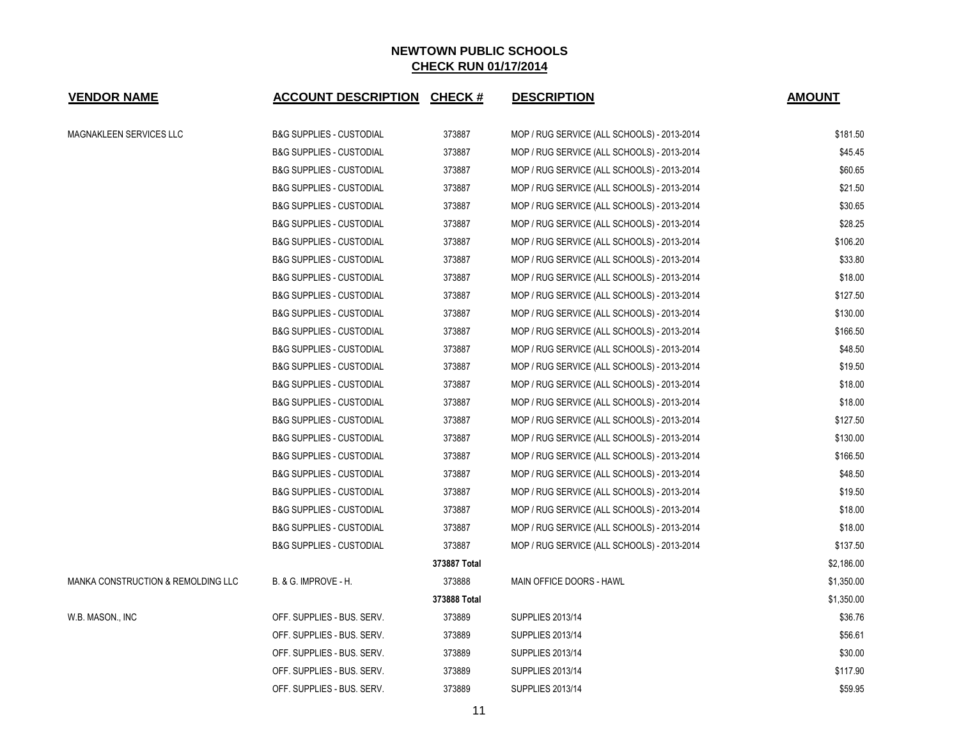| <b>VENDOR NAME</b>                 | <b>ACCOUNT DESCRIPTION CHECK #</b>  |              | <b>DESCRIPTION</b>                          | <b>AMOUNT</b> |
|------------------------------------|-------------------------------------|--------------|---------------------------------------------|---------------|
| MAGNAKLEEN SERVICES LLC            | <b>B&amp;G SUPPLIES - CUSTODIAL</b> | 373887       | MOP / RUG SERVICE (ALL SCHOOLS) - 2013-2014 | \$181.50      |
|                                    | <b>B&amp;G SUPPLIES - CUSTODIAL</b> | 373887       | MOP / RUG SERVICE (ALL SCHOOLS) - 2013-2014 | \$45.45       |
|                                    | <b>B&amp;G SUPPLIES - CUSTODIAL</b> | 373887       | MOP / RUG SERVICE (ALL SCHOOLS) - 2013-2014 | \$60.65       |
|                                    | <b>B&amp;G SUPPLIES - CUSTODIAL</b> | 373887       | MOP / RUG SERVICE (ALL SCHOOLS) - 2013-2014 | \$21.50       |
|                                    | <b>B&amp;G SUPPLIES - CUSTODIAL</b> | 373887       | MOP / RUG SERVICE (ALL SCHOOLS) - 2013-2014 | \$30.65       |
|                                    | <b>B&amp;G SUPPLIES - CUSTODIAL</b> | 373887       | MOP / RUG SERVICE (ALL SCHOOLS) - 2013-2014 | \$28.25       |
|                                    | <b>B&amp;G SUPPLIES - CUSTODIAL</b> | 373887       | MOP / RUG SERVICE (ALL SCHOOLS) - 2013-2014 | \$106.20      |
|                                    | <b>B&amp;G SUPPLIES - CUSTODIAL</b> | 373887       | MOP / RUG SERVICE (ALL SCHOOLS) - 2013-2014 | \$33.80       |
|                                    | <b>B&amp;G SUPPLIES - CUSTODIAL</b> | 373887       | MOP / RUG SERVICE (ALL SCHOOLS) - 2013-2014 | \$18.00       |
|                                    | <b>B&amp;G SUPPLIES - CUSTODIAL</b> | 373887       | MOP / RUG SERVICE (ALL SCHOOLS) - 2013-2014 | \$127.50      |
|                                    | <b>B&amp;G SUPPLIES - CUSTODIAL</b> | 373887       | MOP / RUG SERVICE (ALL SCHOOLS) - 2013-2014 | \$130.00      |
|                                    | <b>B&amp;G SUPPLIES - CUSTODIAL</b> | 373887       | MOP / RUG SERVICE (ALL SCHOOLS) - 2013-2014 | \$166.50      |
|                                    | <b>B&amp;G SUPPLIES - CUSTODIAL</b> | 373887       | MOP / RUG SERVICE (ALL SCHOOLS) - 2013-2014 | \$48.50       |
|                                    | <b>B&amp;G SUPPLIES - CUSTODIAL</b> | 373887       | MOP / RUG SERVICE (ALL SCHOOLS) - 2013-2014 | \$19.50       |
|                                    | <b>B&amp;G SUPPLIES - CUSTODIAL</b> | 373887       | MOP / RUG SERVICE (ALL SCHOOLS) - 2013-2014 | \$18.00       |
|                                    | <b>B&amp;G SUPPLIES - CUSTODIAL</b> | 373887       | MOP / RUG SERVICE (ALL SCHOOLS) - 2013-2014 | \$18.00       |
|                                    | <b>B&amp;G SUPPLIES - CUSTODIAL</b> | 373887       | MOP / RUG SERVICE (ALL SCHOOLS) - 2013-2014 | \$127.50      |
|                                    | <b>B&amp;G SUPPLIES - CUSTODIAL</b> | 373887       | MOP / RUG SERVICE (ALL SCHOOLS) - 2013-2014 | \$130.00      |
|                                    | <b>B&amp;G SUPPLIES - CUSTODIAL</b> | 373887       | MOP / RUG SERVICE (ALL SCHOOLS) - 2013-2014 | \$166.50      |
|                                    | <b>B&amp;G SUPPLIES - CUSTODIAL</b> | 373887       | MOP / RUG SERVICE (ALL SCHOOLS) - 2013-2014 | \$48.50       |
|                                    | <b>B&amp;G SUPPLIES - CUSTODIAL</b> | 373887       | MOP / RUG SERVICE (ALL SCHOOLS) - 2013-2014 | \$19.50       |
|                                    | <b>B&amp;G SUPPLIES - CUSTODIAL</b> | 373887       | MOP / RUG SERVICE (ALL SCHOOLS) - 2013-2014 | \$18.00       |
|                                    | <b>B&amp;G SUPPLIES - CUSTODIAL</b> | 373887       | MOP / RUG SERVICE (ALL SCHOOLS) - 2013-2014 | \$18.00       |
|                                    | <b>B&amp;G SUPPLIES - CUSTODIAL</b> | 373887       | MOP / RUG SERVICE (ALL SCHOOLS) - 2013-2014 | \$137.50      |
|                                    |                                     | 373887 Total |                                             | \$2,186.00    |
| MANKA CONSTRUCTION & REMOLDING LLC | B. & G. IMPROVE - H.                | 373888       | MAIN OFFICE DOORS - HAWL                    | \$1,350.00    |
|                                    |                                     | 373888 Total |                                             | \$1,350.00    |
| W.B. MASON., INC                   | OFF. SUPPLIES - BUS. SERV.          | 373889       | SUPPLIES 2013/14                            | \$36.76       |
|                                    | OFF. SUPPLIES - BUS. SERV.          | 373889       | SUPPLIES 2013/14                            | \$56.61       |
|                                    | OFF. SUPPLIES - BUS. SERV.          | 373889       | SUPPLIES 2013/14                            | \$30.00       |
|                                    | OFF. SUPPLIES - BUS. SERV.          | 373889       | SUPPLIES 2013/14                            | \$117.90      |
|                                    | OFF. SUPPLIES - BUS. SERV.          | 373889       | SUPPLIES 2013/14                            | \$59.95       |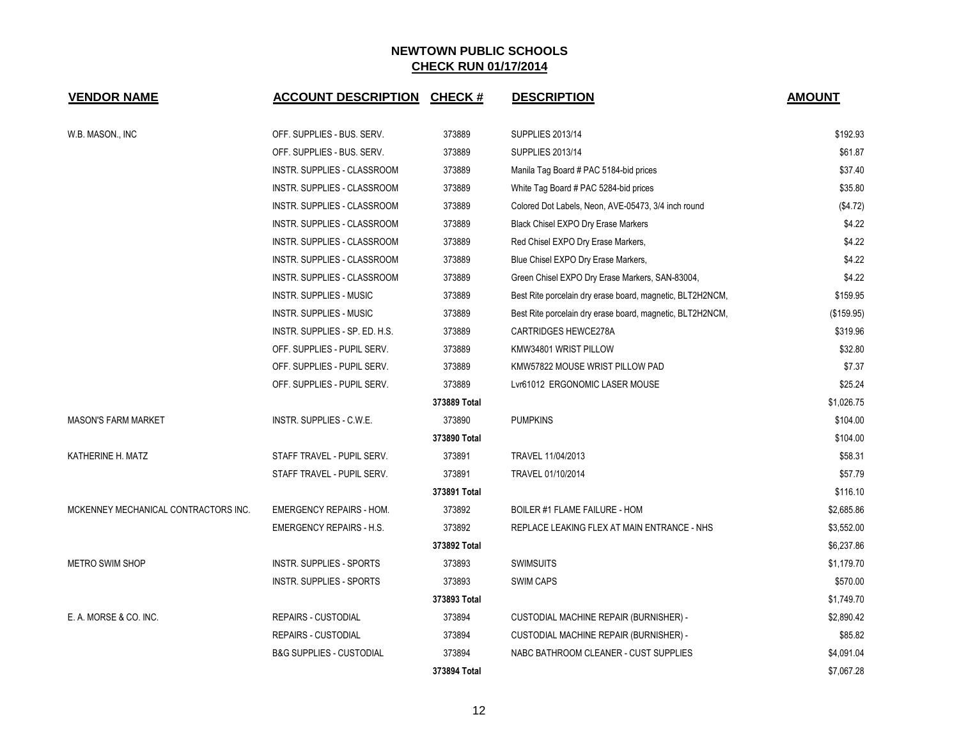| <b>VENDOR NAME</b>                   | <b>ACCOUNT DESCRIPTION</b>          | <b>CHECK#</b> | <b>DESCRIPTION</b>                                        | <b>AMOUNT</b> |
|--------------------------------------|-------------------------------------|---------------|-----------------------------------------------------------|---------------|
| W.B. MASON., INC                     | OFF. SUPPLIES - BUS. SERV.          | 373889        | <b>SUPPLIES 2013/14</b>                                   | \$192.93      |
|                                      | OFF. SUPPLIES - BUS. SERV.          | 373889        | <b>SUPPLIES 2013/14</b>                                   | \$61.87       |
|                                      | INSTR. SUPPLIES - CLASSROOM         | 373889        | Manila Tag Board # PAC 5184-bid prices                    | \$37.40       |
|                                      | INSTR. SUPPLIES - CLASSROOM         | 373889        | White Tag Board # PAC 5284-bid prices                     | \$35.80       |
|                                      | INSTR. SUPPLIES - CLASSROOM         | 373889        | Colored Dot Labels, Neon, AVE-05473, 3/4 inch round       | (\$4.72)      |
|                                      | INSTR. SUPPLIES - CLASSROOM         | 373889        | Black Chisel EXPO Dry Erase Markers                       | \$4.22        |
|                                      | INSTR. SUPPLIES - CLASSROOM         | 373889        | Red Chisel EXPO Dry Erase Markers,                        | \$4.22        |
|                                      | INSTR. SUPPLIES - CLASSROOM         | 373889        | Blue Chisel EXPO Dry Erase Markers,                       | \$4.22        |
|                                      | INSTR. SUPPLIES - CLASSROOM         | 373889        | Green Chisel EXPO Dry Erase Markers, SAN-83004,           | \$4.22        |
|                                      | <b>INSTR. SUPPLIES - MUSIC</b>      | 373889        | Best Rite porcelain dry erase board, magnetic, BLT2H2NCM, | \$159.95      |
|                                      | <b>INSTR. SUPPLIES - MUSIC</b>      | 373889        | Best Rite porcelain dry erase board, magnetic, BLT2H2NCM, | (\$159.95)    |
|                                      | INSTR. SUPPLIES - SP. ED. H.S.      | 373889        | CARTRIDGES HEWCE278A                                      | \$319.96      |
|                                      | OFF. SUPPLIES - PUPIL SERV.         | 373889        | KMW34801 WRIST PILLOW                                     | \$32.80       |
|                                      | OFF. SUPPLIES - PUPIL SERV.         | 373889        | KMW57822 MOUSE WRIST PILLOW PAD                           | \$7.37        |
|                                      | OFF. SUPPLIES - PUPIL SERV.         | 373889        | Lvr61012 ERGONOMIC LASER MOUSE                            | \$25.24       |
|                                      |                                     | 373889 Total  |                                                           | \$1,026.75    |
| <b>MASON'S FARM MARKET</b>           | INSTR. SUPPLIES - C.W.E.            | 373890        | <b>PUMPKINS</b>                                           | \$104.00      |
|                                      |                                     | 373890 Total  |                                                           | \$104.00      |
| KATHERINE H. MATZ                    | STAFF TRAVEL - PUPIL SERV.          | 373891        | TRAVEL 11/04/2013                                         | \$58.31       |
|                                      | STAFF TRAVEL - PUPIL SERV.          | 373891        | TRAVEL 01/10/2014                                         | \$57.79       |
|                                      |                                     | 373891 Total  |                                                           | \$116.10      |
| MCKENNEY MECHANICAL CONTRACTORS INC. | <b>EMERGENCY REPAIRS - HOM.</b>     | 373892        | BOILER #1 FLAME FAILURE - HOM                             | \$2,685.86    |
|                                      | <b>EMERGENCY REPAIRS - H.S.</b>     | 373892        | REPLACE LEAKING FLEX AT MAIN ENTRANCE - NHS               | \$3,552.00    |
|                                      |                                     | 373892 Total  |                                                           | \$6,237.86    |
| <b>METRO SWIM SHOP</b>               | <b>INSTR. SUPPLIES - SPORTS</b>     | 373893        | <b>SWIMSUITS</b>                                          | \$1,179.70    |
|                                      | INSTR. SUPPLIES - SPORTS            | 373893        | <b>SWIM CAPS</b>                                          | \$570.00      |
|                                      |                                     | 373893 Total  |                                                           | \$1,749.70    |
| E. A. MORSE & CO. INC.               | <b>REPAIRS - CUSTODIAL</b>          | 373894        | CUSTODIAL MACHINE REPAIR (BURNISHER) -                    | \$2,890.42    |
|                                      | REPAIRS - CUSTODIAL                 | 373894        | <b>CUSTODIAL MACHINE REPAIR (BURNISHER) -</b>             | \$85.82       |
|                                      | <b>B&amp;G SUPPLIES - CUSTODIAL</b> | 373894        | NABC BATHROOM CLEANER - CUST SUPPLIES                     | \$4,091.04    |
|                                      |                                     | 373894 Total  |                                                           | \$7,067.28    |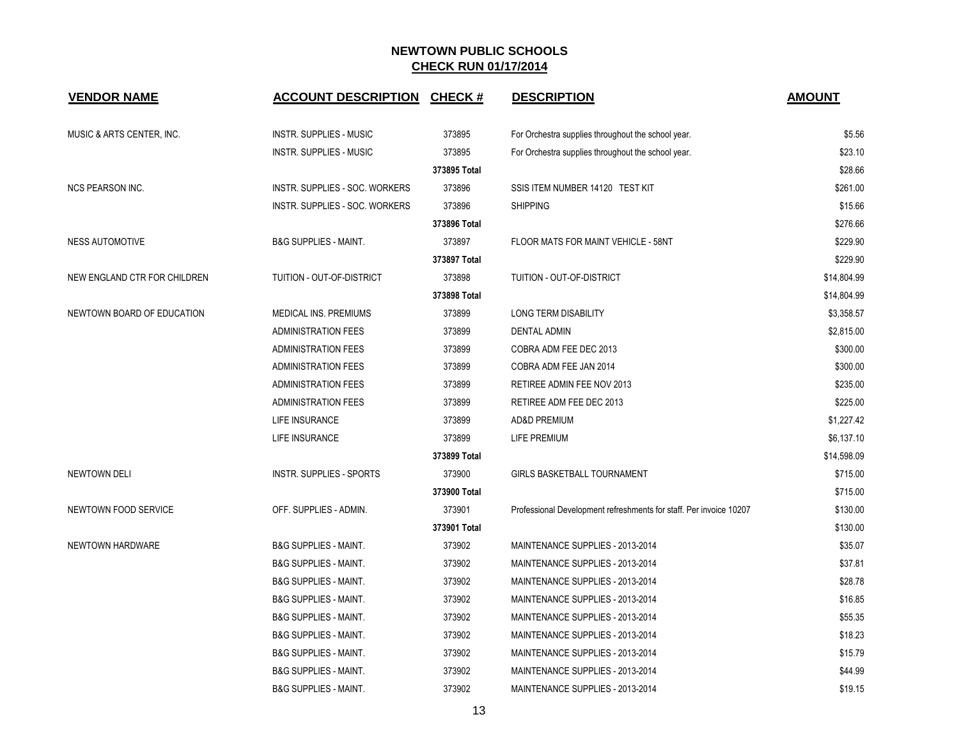| <b>VENDOR NAME</b>           | <b>ACCOUNT DESCRIPTION</b>       | <b>CHECK#</b> | <b>DESCRIPTION</b>                                                 | <b>AMOUNT</b> |
|------------------------------|----------------------------------|---------------|--------------------------------------------------------------------|---------------|
| MUSIC & ARTS CENTER, INC.    | <b>INSTR. SUPPLIES - MUSIC</b>   | 373895        | For Orchestra supplies throughout the school year.                 | \$5.56        |
|                              | <b>INSTR. SUPPLIES - MUSIC</b>   | 373895        | For Orchestra supplies throughout the school year.                 | \$23.10       |
|                              |                                  | 373895 Total  |                                                                    | \$28.66       |
| <b>NCS PEARSON INC.</b>      | INSTR. SUPPLIES - SOC. WORKERS   | 373896        | SSIS ITEM NUMBER 14120 TEST KIT                                    | \$261.00      |
|                              | INSTR. SUPPLIES - SOC. WORKERS   | 373896        | <b>SHIPPING</b>                                                    | \$15.66       |
|                              |                                  | 373896 Total  |                                                                    | \$276.66      |
| <b>NESS AUTOMOTIVE</b>       | <b>B&amp;G SUPPLIES - MAINT.</b> | 373897        | FLOOR MATS FOR MAINT VEHICLE - 58NT                                | \$229.90      |
|                              |                                  | 373897 Total  |                                                                    | \$229.90      |
| NEW ENGLAND CTR FOR CHILDREN | TUITION - OUT-OF-DISTRICT        | 373898        | TUITION - OUT-OF-DISTRICT                                          | \$14,804.99   |
|                              |                                  | 373898 Total  |                                                                    | \$14,804.99   |
| NEWTOWN BOARD OF EDUCATION   | MEDICAL INS. PREMIUMS            | 373899        | <b>LONG TERM DISABILITY</b>                                        | \$3,358.57    |
|                              | <b>ADMINISTRATION FEES</b>       | 373899        | <b>DENTAL ADMIN</b>                                                | \$2,815.00    |
|                              | <b>ADMINISTRATION FEES</b>       | 373899        | COBRA ADM FEE DEC 2013                                             | \$300.00      |
|                              | <b>ADMINISTRATION FEES</b>       | 373899        | COBRA ADM FEE JAN 2014                                             | \$300.00      |
|                              | <b>ADMINISTRATION FEES</b>       | 373899        | RETIREE ADMIN FEE NOV 2013                                         | \$235.00      |
|                              | <b>ADMINISTRATION FEES</b>       | 373899        | RETIREE ADM FEE DEC 2013                                           | \$225.00      |
|                              | <b>LIFE INSURANCE</b>            | 373899        | <b>AD&amp;D PREMIUM</b>                                            | \$1,227.42    |
|                              | LIFE INSURANCE                   | 373899        | LIFE PREMIUM                                                       | \$6,137.10    |
|                              |                                  | 373899 Total  |                                                                    | \$14,598.09   |
| <b>NEWTOWN DELI</b>          | <b>INSTR. SUPPLIES - SPORTS</b>  | 373900        | <b>GIRLS BASKETBALL TOURNAMENT</b>                                 | \$715.00      |
|                              |                                  | 373900 Total  |                                                                    | \$715.00      |
| NEWTOWN FOOD SERVICE         | OFF. SUPPLIES - ADMIN.           | 373901        | Professional Development refreshments for staff. Per invoice 10207 | \$130.00      |
|                              |                                  | 373901 Total  |                                                                    | \$130.00      |
| NEWTOWN HARDWARE             | <b>B&amp;G SUPPLIES - MAINT.</b> | 373902        | MAINTENANCE SUPPLIES - 2013-2014                                   | \$35.07       |
|                              | <b>B&amp;G SUPPLIES - MAINT.</b> | 373902        | MAINTENANCE SUPPLIES - 2013-2014                                   | \$37.81       |
|                              | <b>B&amp;G SUPPLIES - MAINT.</b> | 373902        | MAINTENANCE SUPPLIES - 2013-2014                                   | \$28.78       |
|                              | <b>B&amp;G SUPPLIES - MAINT.</b> | 373902        | MAINTENANCE SUPPLIES - 2013-2014                                   | \$16.85       |
|                              | <b>B&amp;G SUPPLIES - MAINT.</b> | 373902        | MAINTENANCE SUPPLIES - 2013-2014                                   | \$55.35       |
|                              | <b>B&amp;G SUPPLIES - MAINT.</b> | 373902        | MAINTENANCE SUPPLIES - 2013-2014                                   | \$18.23       |
|                              | <b>B&amp;G SUPPLIES - MAINT.</b> | 373902        | MAINTENANCE SUPPLIES - 2013-2014                                   | \$15.79       |
|                              | <b>B&amp;G SUPPLIES - MAINT.</b> | 373902        | MAINTENANCE SUPPLIES - 2013-2014                                   | \$44.99       |
|                              | <b>B&amp;G SUPPLIES - MAINT.</b> | 373902        | MAINTENANCE SUPPLIES - 2013-2014                                   | \$19.15       |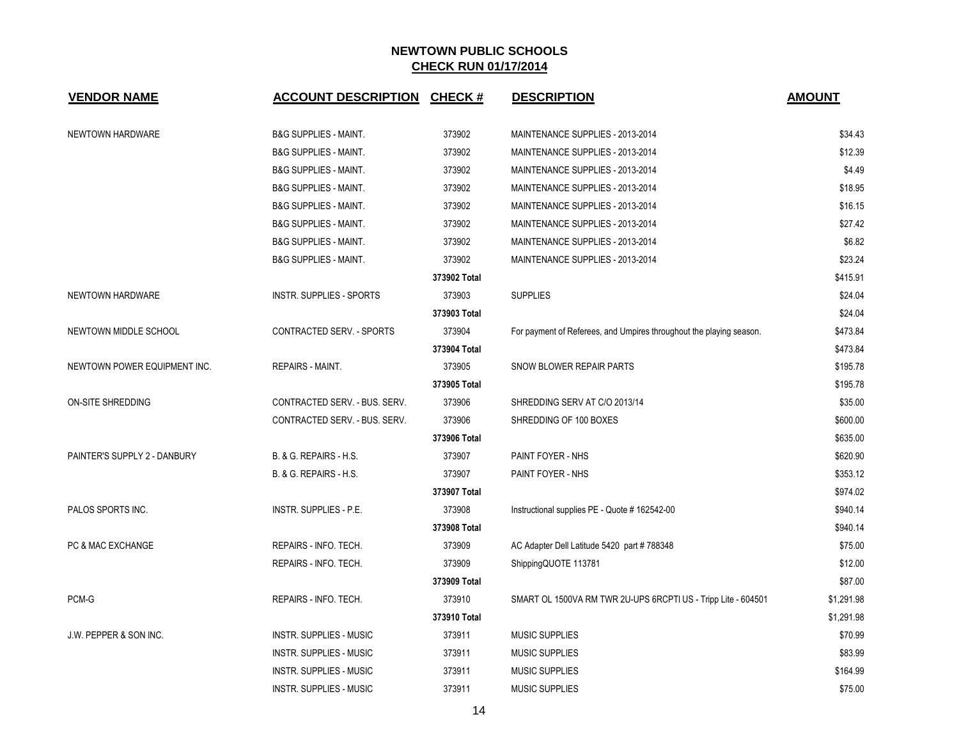| <b>VENDOR NAME</b>           | <b>ACCOUNT DESCRIPTION CHECK #</b> |              | <b>DESCRIPTION</b>                                                  | <b>AMOUNT</b> |
|------------------------------|------------------------------------|--------------|---------------------------------------------------------------------|---------------|
| NEWTOWN HARDWARE             | <b>B&amp;G SUPPLIES - MAINT.</b>   | 373902       | MAINTENANCE SUPPLIES - 2013-2014                                    | \$34.43       |
|                              | <b>B&amp;G SUPPLIES - MAINT.</b>   | 373902       | MAINTENANCE SUPPLIES - 2013-2014                                    | \$12.39       |
|                              | <b>B&amp;G SUPPLIES - MAINT.</b>   | 373902       | MAINTENANCE SUPPLIES - 2013-2014                                    | \$4.49        |
|                              | <b>B&amp;G SUPPLIES - MAINT.</b>   | 373902       | MAINTENANCE SUPPLIES - 2013-2014                                    | \$18.95       |
|                              | <b>B&amp;G SUPPLIES - MAINT.</b>   | 373902       | MAINTENANCE SUPPLIES - 2013-2014                                    | \$16.15       |
|                              | <b>B&amp;G SUPPLIES - MAINT.</b>   | 373902       | MAINTENANCE SUPPLIES - 2013-2014                                    | \$27.42       |
|                              | <b>B&amp;G SUPPLIES - MAINT.</b>   | 373902       | MAINTENANCE SUPPLIES - 2013-2014                                    | \$6.82        |
|                              | <b>B&amp;G SUPPLIES - MAINT.</b>   | 373902       | MAINTENANCE SUPPLIES - 2013-2014                                    | \$23.24       |
|                              |                                    | 373902 Total |                                                                     | \$415.91      |
| NEWTOWN HARDWARE             | <b>INSTR. SUPPLIES - SPORTS</b>    | 373903       | <b>SUPPLIES</b>                                                     | \$24.04       |
|                              |                                    | 373903 Total |                                                                     | \$24.04       |
| NEWTOWN MIDDLE SCHOOL        | CONTRACTED SERV. - SPORTS          | 373904       | For payment of Referees, and Umpires throughout the playing season. | \$473.84      |
|                              |                                    | 373904 Total |                                                                     | \$473.84      |
| NEWTOWN POWER EQUIPMENT INC. | REPAIRS - MAINT.                   | 373905       | SNOW BLOWER REPAIR PARTS                                            | \$195.78      |
|                              |                                    | 373905 Total |                                                                     | \$195.78      |
| ON-SITE SHREDDING            | CONTRACTED SERV. - BUS. SERV.      | 373906       | SHREDDING SERV AT C/O 2013/14                                       | \$35.00       |
|                              | CONTRACTED SERV. - BUS. SERV.      | 373906       | SHREDDING OF 100 BOXES                                              | \$600.00      |
|                              |                                    | 373906 Total |                                                                     | \$635.00      |
| PAINTER'S SUPPLY 2 - DANBURY | B. & G. REPAIRS - H.S.             | 373907       | PAINT FOYER - NHS                                                   | \$620.90      |
|                              | B. & G. REPAIRS - H.S.             | 373907       | PAINT FOYER - NHS                                                   | \$353.12      |
|                              |                                    | 373907 Total |                                                                     | \$974.02      |
| PALOS SPORTS INC.            | <b>INSTR. SUPPLIES - P.E.</b>      | 373908       | Instructional supplies PE - Quote # 162542-00                       | \$940.14      |
|                              |                                    | 373908 Total |                                                                     | \$940.14      |
| PC & MAC EXCHANGE            | REPAIRS - INFO. TECH.              | 373909       | AC Adapter Dell Latitude 5420 part # 788348                         | \$75.00       |
|                              | REPAIRS - INFO. TECH.              | 373909       | ShippingQUOTE 113781                                                | \$12.00       |
|                              |                                    | 373909 Total |                                                                     | \$87.00       |
| PCM-G                        | REPAIRS - INFO. TECH.              | 373910       | SMART OL 1500VA RM TWR 2U-UPS 6RCPTI US - Tripp Lite - 604501       | \$1,291.98    |
|                              |                                    | 373910 Total |                                                                     | \$1,291.98    |
| J.W. PEPPER & SON INC.       | <b>INSTR. SUPPLIES - MUSIC</b>     | 373911       | <b>MUSIC SUPPLIES</b>                                               | \$70.99       |
|                              | <b>INSTR. SUPPLIES - MUSIC</b>     | 373911       | <b>MUSIC SUPPLIES</b>                                               | \$83.99       |
|                              | <b>INSTR. SUPPLIES - MUSIC</b>     | 373911       | <b>MUSIC SUPPLIES</b>                                               | \$164.99      |
|                              | <b>INSTR. SUPPLIES - MUSIC</b>     | 373911       | <b>MUSIC SUPPLIES</b>                                               | \$75.00       |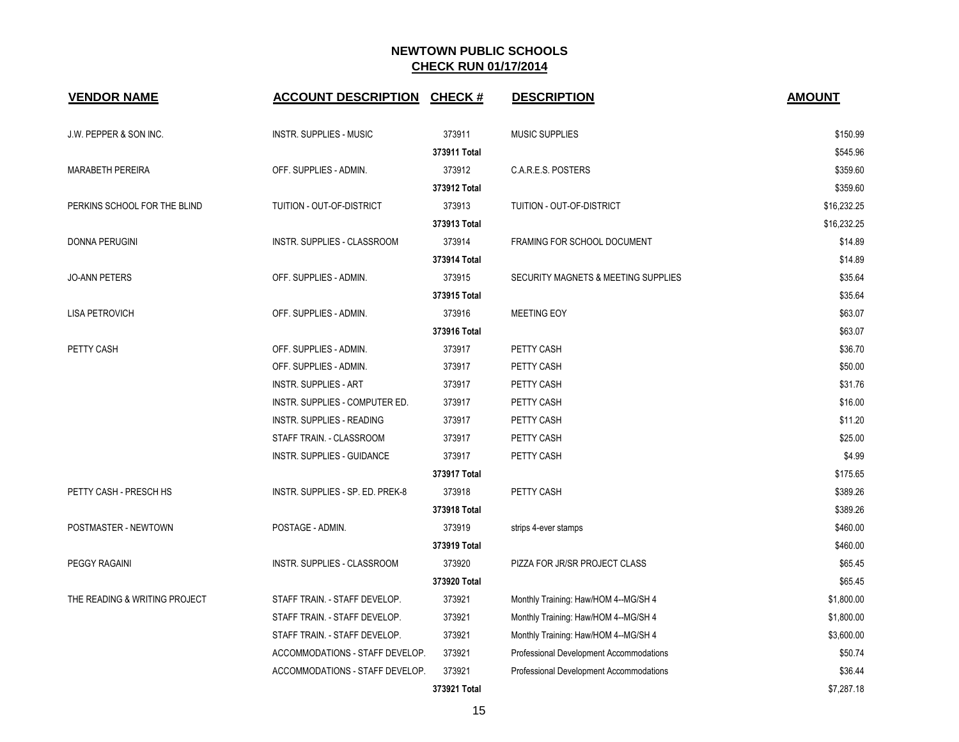| <b>VENDOR NAME</b>            | <b>ACCOUNT DESCRIPTION</b>       | <b>CHECK#</b> | <b>DESCRIPTION</b>                      | <b>AMOUNT</b> |
|-------------------------------|----------------------------------|---------------|-----------------------------------------|---------------|
| J.W. PEPPER & SON INC.        | <b>INSTR. SUPPLIES - MUSIC</b>   | 373911        | <b>MUSIC SUPPLIES</b>                   | \$150.99      |
|                               |                                  | 373911 Total  |                                         | \$545.96      |
| <b>MARABETH PEREIRA</b>       | OFF. SUPPLIES - ADMIN.           | 373912        | C.A.R.E.S. POSTERS                      | \$359.60      |
|                               |                                  | 373912 Total  |                                         | \$359.60      |
| PERKINS SCHOOL FOR THE BLIND  | TUITION - OUT-OF-DISTRICT        | 373913        | TUITION - OUT-OF-DISTRICT               | \$16,232.25   |
|                               |                                  | 373913 Total  |                                         | \$16,232.25   |
| DONNA PERUGINI                | INSTR. SUPPLIES - CLASSROOM      | 373914        | FRAMING FOR SCHOOL DOCUMENT             | \$14.89       |
|                               |                                  | 373914 Total  |                                         | \$14.89       |
| <b>JO-ANN PETERS</b>          | OFF. SUPPLIES - ADMIN.           | 373915        | SECURITY MAGNETS & MEETING SUPPLIES     | \$35.64       |
|                               |                                  | 373915 Total  |                                         | \$35.64       |
| <b>LISA PETROVICH</b>         | OFF. SUPPLIES - ADMIN.           | 373916        | <b>MEETING EOY</b>                      | \$63.07       |
|                               |                                  | 373916 Total  |                                         | \$63.07       |
| PETTY CASH                    | OFF. SUPPLIES - ADMIN.           | 373917        | PETTY CASH                              | \$36.70       |
|                               | OFF. SUPPLIES - ADMIN.           | 373917        | PETTY CASH                              | \$50.00       |
|                               | <b>INSTR. SUPPLIES - ART</b>     | 373917        | PETTY CASH                              | \$31.76       |
|                               | INSTR. SUPPLIES - COMPUTER ED.   | 373917        | PETTY CASH                              | \$16.00       |
|                               | INSTR. SUPPLIES - READING        | 373917        | PETTY CASH                              | \$11.20       |
|                               | STAFF TRAIN. - CLASSROOM         | 373917        | PETTY CASH                              | \$25.00       |
|                               | INSTR. SUPPLIES - GUIDANCE       | 373917        | PETTY CASH                              | \$4.99        |
|                               |                                  | 373917 Total  |                                         | \$175.65      |
| PETTY CASH - PRESCH HS        | INSTR. SUPPLIES - SP. ED. PREK-8 | 373918        | PETTY CASH                              | \$389.26      |
|                               |                                  | 373918 Total  |                                         | \$389.26      |
| POSTMASTER - NEWTOWN          | POSTAGE - ADMIN.                 | 373919        | strips 4-ever stamps                    | \$460.00      |
|                               |                                  | 373919 Total  |                                         | \$460.00      |
| PEGGY RAGAINI                 | INSTR. SUPPLIES - CLASSROOM      | 373920        | PIZZA FOR JR/SR PROJECT CLASS           | \$65.45       |
|                               |                                  | 373920 Total  |                                         | \$65.45       |
| THE READING & WRITING PROJECT | STAFF TRAIN. - STAFF DEVELOP.    | 373921        | Monthly Training: Haw/HOM 4--MG/SH 4    | \$1,800.00    |
|                               | STAFF TRAIN. - STAFF DEVELOP.    | 373921        | Monthly Training: Haw/HOM 4--MG/SH 4    | \$1,800.00    |
|                               | STAFF TRAIN. - STAFF DEVELOP.    | 373921        | Monthly Training: Haw/HOM 4--MG/SH 4    | \$3,600.00    |
|                               | ACCOMMODATIONS - STAFF DEVELOP.  | 373921        | Professional Development Accommodations | \$50.74       |
|                               | ACCOMMODATIONS - STAFF DEVELOP.  | 373921        | Professional Development Accommodations | \$36.44       |
|                               |                                  | 373921 Total  |                                         | \$7,287.18    |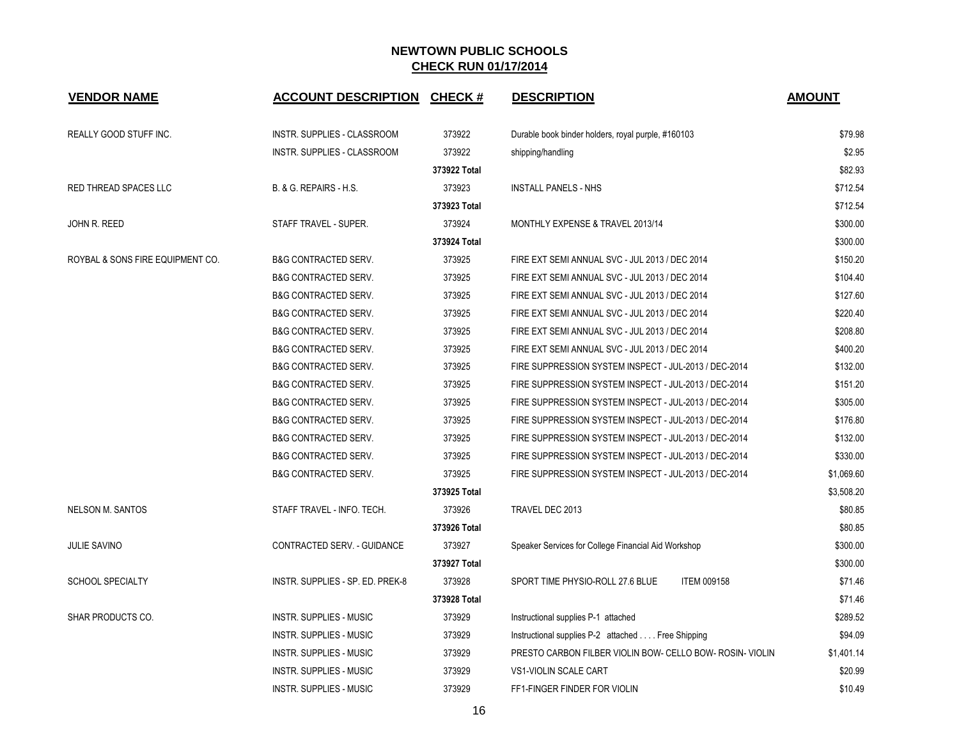| <b>VENDOR NAME</b>               | <b>ACCOUNT DESCRIPTION</b>         | CHECK #      | <b>DESCRIPTION</b>                                        | <b>AMOUNT</b> |
|----------------------------------|------------------------------------|--------------|-----------------------------------------------------------|---------------|
| REALLY GOOD STUFF INC.           | INSTR. SUPPLIES - CLASSROOM        | 373922       | Durable book binder holders, royal purple, #160103        | \$79.98       |
|                                  | <b>INSTR. SUPPLIES - CLASSROOM</b> | 373922       | shipping/handling                                         | \$2.95        |
|                                  |                                    | 373922 Total |                                                           | \$82.93       |
| RED THREAD SPACES LLC            | B. & G. REPAIRS - H.S.             | 373923       | INSTALL PANELS - NHS                                      | \$712.54      |
|                                  |                                    | 373923 Total |                                                           | \$712.54      |
| JOHN R. REED                     | STAFF TRAVEL - SUPER.              | 373924       | MONTHLY EXPENSE & TRAVEL 2013/14                          | \$300.00      |
|                                  |                                    | 373924 Total |                                                           | \$300.00      |
| ROYBAL & SONS FIRE EQUIPMENT CO. | <b>B&amp;G CONTRACTED SERV.</b>    | 373925       | FIRE EXT SEMI ANNUAL SVC - JUL 2013 / DEC 2014            | \$150.20      |
|                                  | <b>B&amp;G CONTRACTED SERV.</b>    | 373925       | FIRE EXT SEMI ANNUAL SVC - JUL 2013 / DEC 2014            | \$104.40      |
|                                  | <b>B&amp;G CONTRACTED SERV.</b>    | 373925       | FIRE EXT SEMI ANNUAL SVC - JUL 2013 / DEC 2014            | \$127.60      |
|                                  | <b>B&amp;G CONTRACTED SERV.</b>    | 373925       | FIRE EXT SEMI ANNUAL SVC - JUL 2013 / DEC 2014            | \$220.40      |
|                                  | <b>B&amp;G CONTRACTED SERV.</b>    | 373925       | FIRE EXT SEMI ANNUAL SVC - JUL 2013 / DEC 2014            | \$208.80      |
|                                  | <b>B&amp;G CONTRACTED SERV.</b>    | 373925       | FIRE EXT SEMI ANNUAL SVC - JUL 2013 / DEC 2014            | \$400.20      |
|                                  | <b>B&amp;G CONTRACTED SERV.</b>    | 373925       | FIRE SUPPRESSION SYSTEM INSPECT - JUL-2013 / DEC-2014     | \$132.00      |
|                                  | <b>B&amp;G CONTRACTED SERV.</b>    | 373925       | FIRE SUPPRESSION SYSTEM INSPECT - JUL-2013 / DEC-2014     | \$151.20      |
|                                  | <b>B&amp;G CONTRACTED SERV.</b>    | 373925       | FIRE SUPPRESSION SYSTEM INSPECT - JUL-2013 / DEC-2014     | \$305.00      |
|                                  | <b>B&amp;G CONTRACTED SERV.</b>    | 373925       | FIRE SUPPRESSION SYSTEM INSPECT - JUL-2013 / DEC-2014     | \$176.80      |
|                                  | <b>B&amp;G CONTRACTED SERV.</b>    | 373925       | FIRE SUPPRESSION SYSTEM INSPECT - JUL-2013 / DEC-2014     | \$132.00      |
|                                  | <b>B&amp;G CONTRACTED SERV.</b>    | 373925       | FIRE SUPPRESSION SYSTEM INSPECT - JUL-2013 / DEC-2014     | \$330.00      |
|                                  | <b>B&amp;G CONTRACTED SERV.</b>    | 373925       | FIRE SUPPRESSION SYSTEM INSPECT - JUL-2013 / DEC-2014     | \$1,069.60    |
|                                  |                                    | 373925 Total |                                                           | \$3,508.20    |
| <b>NELSON M. SANTOS</b>          | STAFF TRAVEL - INFO. TECH.         | 373926       | TRAVEL DEC 2013                                           | \$80.85       |
|                                  |                                    | 373926 Total |                                                           | \$80.85       |
| <b>JULIE SAVINO</b>              | CONTRACTED SERV. - GUIDANCE        | 373927       | Speaker Services for College Financial Aid Workshop       | \$300.00      |
|                                  |                                    | 373927 Total |                                                           | \$300.00      |
| <b>SCHOOL SPECIALTY</b>          | INSTR. SUPPLIES - SP. ED. PREK-8   | 373928       | SPORT TIME PHYSIO-ROLL 27.6 BLUE<br><b>ITEM 009158</b>    | \$71.46       |
|                                  |                                    | 373928 Total |                                                           | \$71.46       |
| SHAR PRODUCTS CO.                | <b>INSTR. SUPPLIES - MUSIC</b>     | 373929       | Instructional supplies P-1 attached                       | \$289.52      |
|                                  | <b>INSTR. SUPPLIES - MUSIC</b>     | 373929       | Instructional supplies P-2 attached Free Shipping         | \$94.09       |
|                                  | <b>INSTR. SUPPLIES - MUSIC</b>     | 373929       | PRESTO CARBON FILBER VIOLIN BOW- CELLO BOW- ROSIN- VIOLIN | \$1,401.14    |
|                                  | INSTR. SUPPLIES - MUSIC            | 373929       | VS1-VIOLIN SCALE CART                                     | \$20.99       |
|                                  | <b>INSTR. SUPPLIES - MUSIC</b>     | 373929       | FF1-FINGER FINDER FOR VIOLIN                              | \$10.49       |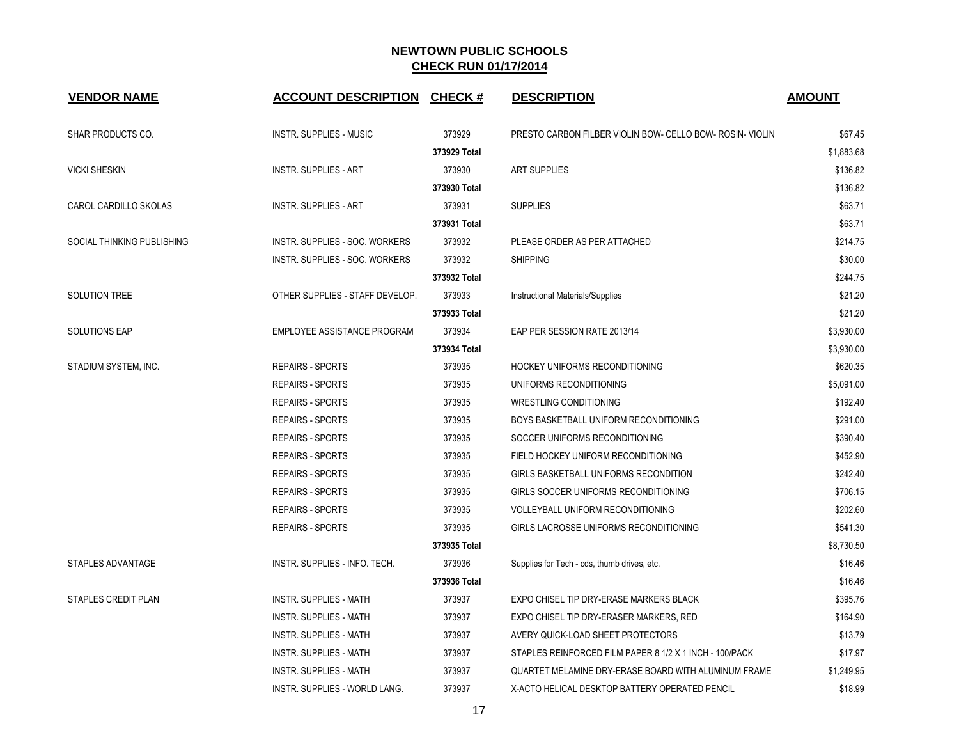| <b>VENDOR NAME</b>         | <b>ACCOUNT DESCRIPTION</b>      | <b>CHECK#</b> | <b>DESCRIPTION</b>                                        | <b>AMOUNT</b> |
|----------------------------|---------------------------------|---------------|-----------------------------------------------------------|---------------|
| SHAR PRODUCTS CO.          | <b>INSTR. SUPPLIES - MUSIC</b>  | 373929        | PRESTO CARBON FILBER VIOLIN BOW- CELLO BOW- ROSIN- VIOLIN | \$67.45       |
|                            |                                 | 373929 Total  |                                                           | \$1,883.68    |
| <b>VICKI SHESKIN</b>       | <b>INSTR. SUPPLIES - ART</b>    | 373930        | <b>ART SUPPLIES</b>                                       | \$136.82      |
|                            |                                 | 373930 Total  |                                                           | \$136.82      |
| CAROL CARDILLO SKOLAS      | <b>INSTR. SUPPLIES - ART</b>    | 373931        | <b>SUPPLIES</b>                                           | \$63.71       |
|                            |                                 | 373931 Total  |                                                           | \$63.71       |
| SOCIAL THINKING PUBLISHING | INSTR. SUPPLIES - SOC. WORKERS  | 373932        | PLEASE ORDER AS PER ATTACHED                              | \$214.75      |
|                            | INSTR. SUPPLIES - SOC. WORKERS  | 373932        | <b>SHIPPING</b>                                           | \$30.00       |
|                            |                                 | 373932 Total  |                                                           | \$244.75      |
| SOLUTION TREE              | OTHER SUPPLIES - STAFF DEVELOP. | 373933        | Instructional Materials/Supplies                          | \$21.20       |
|                            |                                 | 373933 Total  |                                                           | \$21.20       |
| <b>SOLUTIONS EAP</b>       | EMPLOYEE ASSISTANCE PROGRAM     | 373934        | EAP PER SESSION RATE 2013/14                              | \$3,930.00    |
|                            |                                 | 373934 Total  |                                                           | \$3,930.00    |
| STADIUM SYSTEM, INC.       | <b>REPAIRS - SPORTS</b>         | 373935        | <b>HOCKEY UNIFORMS RECONDITIONING</b>                     | \$620.35      |
|                            | <b>REPAIRS - SPORTS</b>         | 373935        | UNIFORMS RECONDITIONING                                   | \$5,091.00    |
|                            | <b>REPAIRS - SPORTS</b>         | 373935        | WRESTLING CONDITIONING                                    | \$192.40      |
|                            | <b>REPAIRS - SPORTS</b>         | 373935        | BOYS BASKETBALL UNIFORM RECONDITIONING                    | \$291.00      |
|                            | <b>REPAIRS - SPORTS</b>         | 373935        | SOCCER UNIFORMS RECONDITIONING                            | \$390.40      |
|                            | <b>REPAIRS - SPORTS</b>         | 373935        | FIELD HOCKEY UNIFORM RECONDITIONING                       | \$452.90      |
|                            | <b>REPAIRS - SPORTS</b>         | 373935        | <b>GIRLS BASKETBALL UNIFORMS RECONDITION</b>              | \$242.40      |
|                            | <b>REPAIRS - SPORTS</b>         | 373935        | GIRLS SOCCER UNIFORMS RECONDITIONING                      | \$706.15      |
|                            | <b>REPAIRS - SPORTS</b>         | 373935        | VOLLEYBALL UNIFORM RECONDITIONING                         | \$202.60      |
|                            | <b>REPAIRS - SPORTS</b>         | 373935        | GIRLS LACROSSE UNIFORMS RECONDITIONING                    | \$541.30      |
|                            |                                 | 373935 Total  |                                                           | \$8,730.50    |
| STAPLES ADVANTAGE          | INSTR. SUPPLIES - INFO. TECH.   | 373936        | Supplies for Tech - cds, thumb drives, etc.               | \$16.46       |
|                            |                                 | 373936 Total  |                                                           | \$16.46       |
| STAPLES CREDIT PLAN        | <b>INSTR. SUPPLIES - MATH</b>   | 373937        | EXPO CHISEL TIP DRY-ERASE MARKERS BLACK                   | \$395.76      |
|                            | INSTR. SUPPLIES - MATH          | 373937        | EXPO CHISEL TIP DRY-ERASER MARKERS, RED                   | \$164.90      |
|                            | <b>INSTR. SUPPLIES - MATH</b>   | 373937        | AVERY QUICK-LOAD SHEET PROTECTORS                         | \$13.79       |
|                            | <b>INSTR. SUPPLIES - MATH</b>   | 373937        | STAPLES REINFORCED FILM PAPER 8 1/2 X 1 INCH - 100/PACK   | \$17.97       |
|                            | <b>INSTR. SUPPLIES - MATH</b>   | 373937        | QUARTET MELAMINE DRY-ERASE BOARD WITH ALUMINUM FRAME      | \$1,249.95    |
|                            | INSTR. SUPPLIES - WORLD LANG.   | 373937        | X-ACTO HELICAL DESKTOP BATTERY OPERATED PENCIL            | \$18.99       |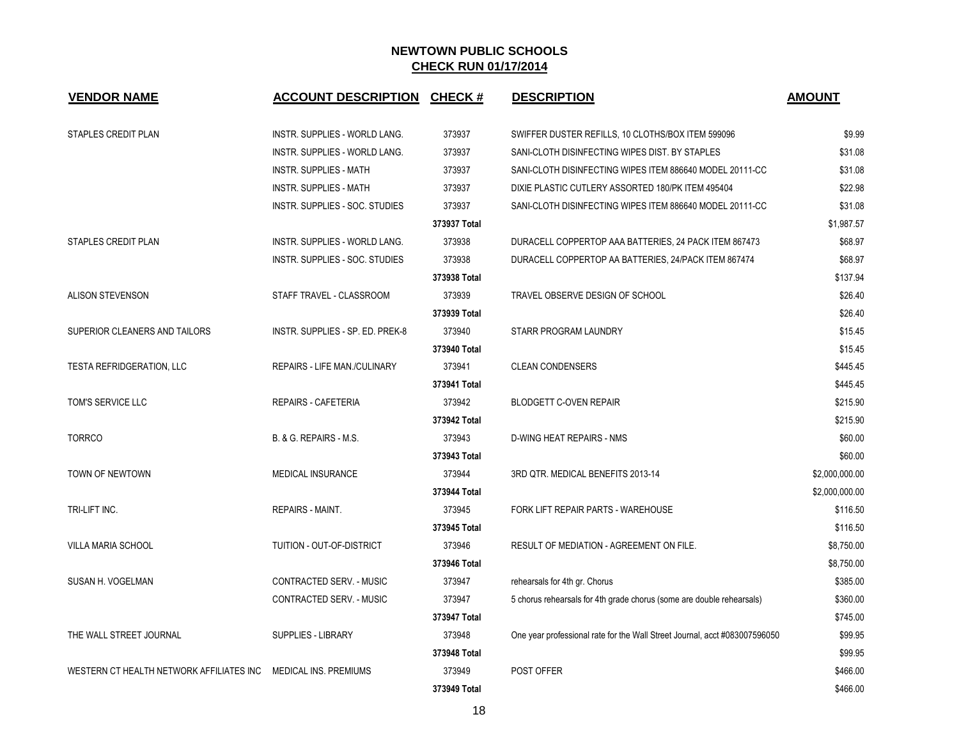| <b>VENDOR NAME</b>                       | <b>ACCOUNT DESCRIPTION</b>       | <b>CHECK#</b> | <b>DESCRIPTION</b>                                                         | <b>AMOUNT</b>  |
|------------------------------------------|----------------------------------|---------------|----------------------------------------------------------------------------|----------------|
| STAPLES CREDIT PLAN                      | INSTR. SUPPLIES - WORLD LANG.    | 373937        | SWIFFER DUSTER REFILLS, 10 CLOTHS/BOX ITEM 599096                          | \$9.99         |
|                                          | INSTR. SUPPLIES - WORLD LANG.    | 373937        | SANI-CLOTH DISINFECTING WIPES DIST. BY STAPLES                             | \$31.08        |
|                                          | <b>INSTR. SUPPLIES - MATH</b>    | 373937        | SANI-CLOTH DISINFECTING WIPES ITEM 886640 MODEL 20111-CC                   | \$31.08        |
|                                          | <b>INSTR. SUPPLIES - MATH</b>    | 373937        | DIXIE PLASTIC CUTLERY ASSORTED 180/PK ITEM 495404                          | \$22.98        |
|                                          | INSTR. SUPPLIES - SOC. STUDIES   | 373937        | SANI-CLOTH DISINFECTING WIPES ITEM 886640 MODEL 20111-CC                   | \$31.08        |
|                                          |                                  | 373937 Total  |                                                                            | \$1,987.57     |
| STAPLES CREDIT PLAN                      | INSTR. SUPPLIES - WORLD LANG.    | 373938        | DURACELL COPPERTOP AAA BATTERIES, 24 PACK ITEM 867473                      | \$68.97        |
|                                          | INSTR. SUPPLIES - SOC. STUDIES   | 373938        | DURACELL COPPERTOP AA BATTERIES, 24/PACK ITEM 867474                       | \$68.97        |
|                                          |                                  | 373938 Total  |                                                                            | \$137.94       |
| <b>ALISON STEVENSON</b>                  | STAFF TRAVEL - CLASSROOM         | 373939        | TRAVEL OBSERVE DESIGN OF SCHOOL                                            | \$26.40        |
|                                          |                                  | 373939 Total  |                                                                            | \$26.40        |
| SUPERIOR CLEANERS AND TAILORS            | INSTR. SUPPLIES - SP. ED. PREK-8 | 373940        | STARR PROGRAM LAUNDRY                                                      | \$15.45        |
|                                          |                                  | 373940 Total  |                                                                            | \$15.45        |
| TESTA REFRIDGERATION, LLC                | REPAIRS - LIFE MAN./CULINARY     | 373941        | <b>CLEAN CONDENSERS</b>                                                    | \$445.45       |
|                                          |                                  | 373941 Total  |                                                                            | \$445.45       |
| TOM'S SERVICE LLC                        | REPAIRS - CAFETERIA              | 373942        | <b>BLODGETT C-OVEN REPAIR</b>                                              | \$215.90       |
|                                          |                                  | 373942 Total  |                                                                            | \$215.90       |
| <b>TORRCO</b>                            | B. & G. REPAIRS - M.S.           | 373943        | D-WING HEAT REPAIRS - NMS                                                  | \$60.00        |
|                                          |                                  | 373943 Total  |                                                                            | \$60.00        |
| TOWN OF NEWTOWN                          | MEDICAL INSURANCE                | 373944        | 3RD QTR. MEDICAL BENEFITS 2013-14                                          | \$2,000,000.00 |
|                                          |                                  | 373944 Total  |                                                                            | \$2,000,000.00 |
| TRI-LIFT INC.                            | <b>REPAIRS - MAINT.</b>          | 373945        | FORK LIFT REPAIR PARTS - WAREHOUSE                                         | \$116.50       |
|                                          |                                  | 373945 Total  |                                                                            | \$116.50       |
| VILLA MARIA SCHOOL                       | TUITION - OUT-OF-DISTRICT        | 373946        | RESULT OF MEDIATION - AGREEMENT ON FILE.                                   | \$8,750.00     |
|                                          |                                  | 373946 Total  |                                                                            | \$8,750.00     |
| SUSAN H. VOGELMAN                        | CONTRACTED SERV. - MUSIC         | 373947        | rehearsals for 4th gr. Chorus                                              | \$385.00       |
|                                          | CONTRACTED SERV. - MUSIC         | 373947        | 5 chorus rehearsals for 4th grade chorus (some are double rehearsals)      | \$360.00       |
|                                          |                                  | 373947 Total  |                                                                            | \$745.00       |
| THE WALL STREET JOURNAL                  | <b>SUPPLIES - LIBRARY</b>        | 373948        | One year professional rate for the Wall Street Journal, acct #083007596050 | \$99.95        |
|                                          |                                  | 373948 Total  |                                                                            | \$99.95        |
| WESTERN CT HEALTH NETWORK AFFILIATES INC | MEDICAL INS. PREMIUMS            | 373949        | <b>POST OFFER</b>                                                          | \$466.00       |
|                                          |                                  | 373949 Total  |                                                                            | \$466.00       |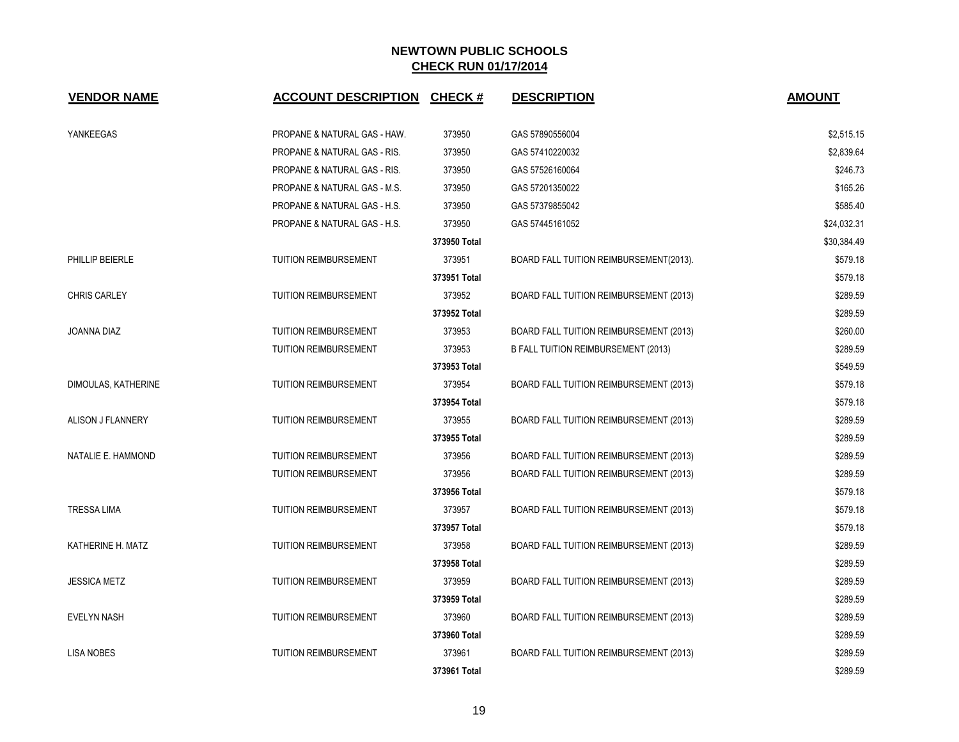| <b>VENDOR NAME</b>  | <b>ACCOUNT DESCRIPTION</b>              | <b>CHECK#</b> | <b>DESCRIPTION</b>                         | <b>AMOUNT</b> |
|---------------------|-----------------------------------------|---------------|--------------------------------------------|---------------|
| YANKEEGAS           | PROPANE & NATURAL GAS - HAW.            | 373950        | GAS 57890556004                            | \$2,515.15    |
|                     | PROPANE & NATURAL GAS - RIS.            | 373950        | GAS 57410220032                            | \$2,839.64    |
|                     | PROPANE & NATURAL GAS - RIS.            | 373950        | GAS 57526160064                            | \$246.73      |
|                     | <b>PROPANE &amp; NATURAL GAS - M.S.</b> | 373950        | GAS 57201350022                            | \$165.26      |
|                     | PROPANE & NATURAL GAS - H.S.            | 373950        | GAS 57379855042                            | \$585.40      |
|                     | PROPANE & NATURAL GAS - H.S.            | 373950        | GAS 57445161052                            | \$24,032.31   |
|                     |                                         | 373950 Total  |                                            | \$30,384.49   |
| PHILLIP BEIERLE     | <b>TUITION REIMBURSEMENT</b>            | 373951        | BOARD FALL TUITION REIMBURSEMENT(2013).    | \$579.18      |
|                     |                                         | 373951 Total  |                                            | \$579.18      |
| <b>CHRIS CARLEY</b> | <b>TUITION REIMBURSEMENT</b>            | 373952        | BOARD FALL TUITION REIMBURSEMENT (2013)    | \$289.59      |
|                     |                                         | 373952 Total  |                                            | \$289.59      |
| JOANNA DIAZ         | TUITION REIMBURSEMENT                   | 373953        | BOARD FALL TUITION REIMBURSEMENT (2013)    | \$260.00      |
|                     | <b>TUITION REIMBURSEMENT</b>            | 373953        | <b>B FALL TUITION REIMBURSEMENT (2013)</b> | \$289.59      |
|                     |                                         | 373953 Total  |                                            | \$549.59      |
| DIMOULAS, KATHERINE | <b>TUITION REIMBURSEMENT</b>            | 373954        | BOARD FALL TUITION REIMBURSEMENT (2013)    | \$579.18      |
|                     |                                         | 373954 Total  |                                            | \$579.18      |
| ALISON J FLANNERY   | TUITION REIMBURSEMENT                   | 373955        | BOARD FALL TUITION REIMBURSEMENT (2013)    | \$289.59      |
|                     |                                         | 373955 Total  |                                            | \$289.59      |
| NATALIE E. HAMMOND  | TUITION REIMBURSEMENT                   | 373956        | BOARD FALL TUITION REIMBURSEMENT (2013)    | \$289.59      |
|                     | <b>TUITION REIMBURSEMENT</b>            | 373956        | BOARD FALL TUITION REIMBURSEMENT (2013)    | \$289.59      |
|                     |                                         | 373956 Total  |                                            | \$579.18      |
| <b>TRESSA LIMA</b>  | <b>TUITION REIMBURSEMENT</b>            | 373957        | BOARD FALL TUITION REIMBURSEMENT (2013)    | \$579.18      |
|                     |                                         | 373957 Total  |                                            | \$579.18      |
| KATHERINE H. MATZ   | TUITION REIMBURSEMENT                   | 373958        | BOARD FALL TUITION REIMBURSEMENT (2013)    | \$289.59      |
|                     |                                         | 373958 Total  |                                            | \$289.59      |
| <b>JESSICA METZ</b> | <b>TUITION REIMBURSEMENT</b>            | 373959        | BOARD FALL TUITION REIMBURSEMENT (2013)    | \$289.59      |
|                     |                                         | 373959 Total  |                                            | \$289.59      |
| <b>EVELYN NASH</b>  | <b>TUITION REIMBURSEMENT</b>            | 373960        | BOARD FALL TUITION REIMBURSEMENT (2013)    | \$289.59      |
|                     |                                         | 373960 Total  |                                            | \$289.59      |
| <b>LISA NOBES</b>   | TUITION REIMBURSEMENT                   | 373961        | BOARD FALL TUITION REIMBURSEMENT (2013)    | \$289.59      |
|                     |                                         | 373961 Total  |                                            | \$289.59      |